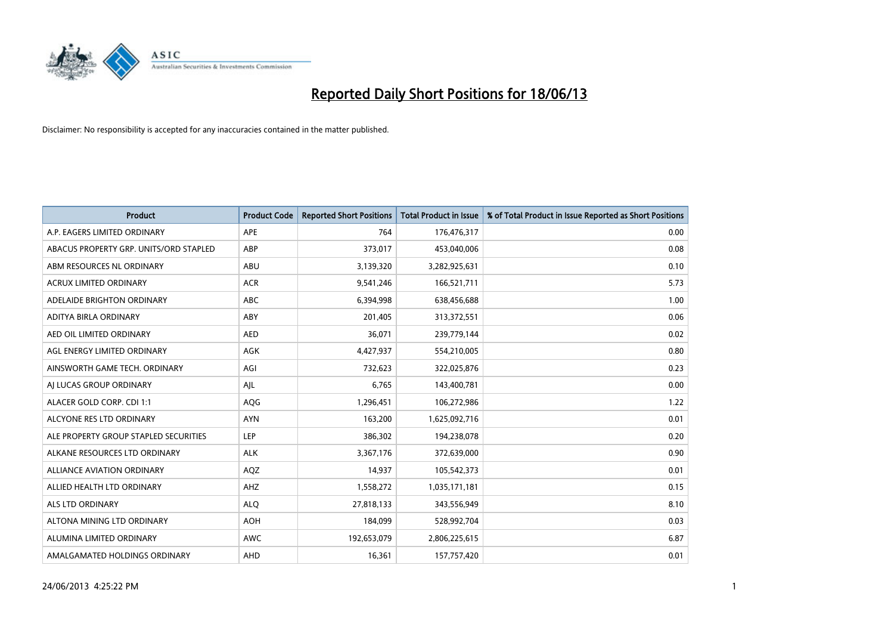

| <b>Product</b>                         | <b>Product Code</b> | <b>Reported Short Positions</b> | <b>Total Product in Issue</b> | % of Total Product in Issue Reported as Short Positions |
|----------------------------------------|---------------------|---------------------------------|-------------------------------|---------------------------------------------------------|
| A.P. EAGERS LIMITED ORDINARY           | <b>APE</b>          | 764                             | 176,476,317                   | 0.00                                                    |
| ABACUS PROPERTY GRP. UNITS/ORD STAPLED | ABP                 | 373,017                         | 453,040,006                   | 0.08                                                    |
| ABM RESOURCES NL ORDINARY              | ABU                 | 3,139,320                       | 3,282,925,631                 | 0.10                                                    |
| ACRUX LIMITED ORDINARY                 | <b>ACR</b>          | 9,541,246                       | 166,521,711                   | 5.73                                                    |
| ADELAIDE BRIGHTON ORDINARY             | <b>ABC</b>          | 6,394,998                       | 638,456,688                   | 1.00                                                    |
| ADITYA BIRLA ORDINARY                  | ABY                 | 201,405                         | 313,372,551                   | 0.06                                                    |
| AED OIL LIMITED ORDINARY               | <b>AED</b>          | 36,071                          | 239,779,144                   | 0.02                                                    |
| AGL ENERGY LIMITED ORDINARY            | AGK                 | 4,427,937                       | 554,210,005                   | 0.80                                                    |
| AINSWORTH GAME TECH. ORDINARY          | AGI                 | 732,623                         | 322,025,876                   | 0.23                                                    |
| AI LUCAS GROUP ORDINARY                | AJL                 | 6,765                           | 143,400,781                   | 0.00                                                    |
| ALACER GOLD CORP. CDI 1:1              | AQG                 | 1,296,451                       | 106,272,986                   | 1.22                                                    |
| ALCYONE RES LTD ORDINARY               | <b>AYN</b>          | 163,200                         | 1,625,092,716                 | 0.01                                                    |
| ALE PROPERTY GROUP STAPLED SECURITIES  | <b>LEP</b>          | 386,302                         | 194,238,078                   | 0.20                                                    |
| ALKANE RESOURCES LTD ORDINARY          | <b>ALK</b>          | 3,367,176                       | 372,639,000                   | 0.90                                                    |
| <b>ALLIANCE AVIATION ORDINARY</b>      | AQZ                 | 14,937                          | 105,542,373                   | 0.01                                                    |
| ALLIED HEALTH LTD ORDINARY             | AHZ                 | 1,558,272                       | 1,035,171,181                 | 0.15                                                    |
| ALS LTD ORDINARY                       | <b>ALQ</b>          | 27,818,133                      | 343,556,949                   | 8.10                                                    |
| ALTONA MINING LTD ORDINARY             | <b>AOH</b>          | 184,099                         | 528,992,704                   | 0.03                                                    |
| ALUMINA LIMITED ORDINARY               | AWC                 | 192,653,079                     | 2,806,225,615                 | 6.87                                                    |
| AMALGAMATED HOLDINGS ORDINARY          | AHD                 | 16,361                          | 157,757,420                   | 0.01                                                    |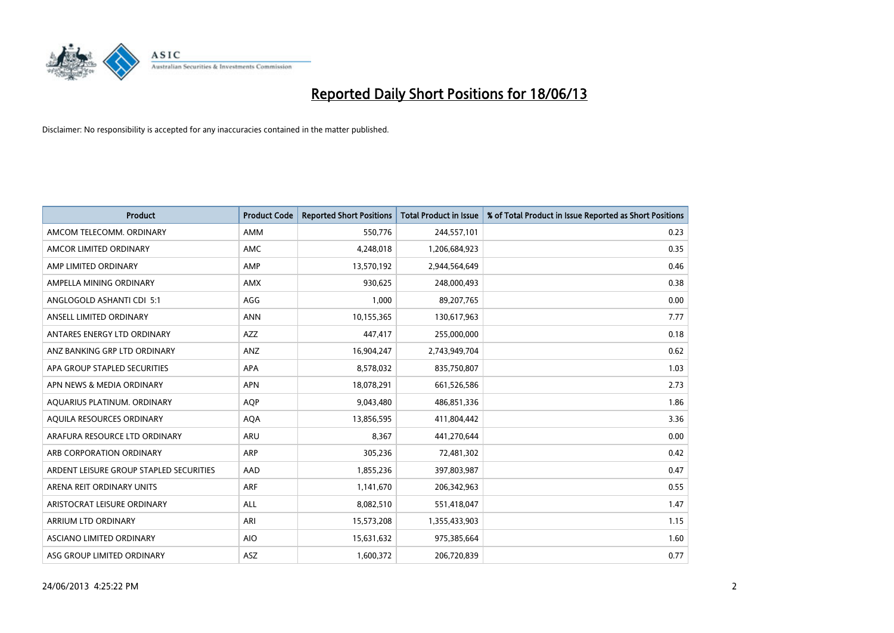

| <b>Product</b>                          | <b>Product Code</b> | <b>Reported Short Positions</b> | <b>Total Product in Issue</b> | % of Total Product in Issue Reported as Short Positions |
|-----------------------------------------|---------------------|---------------------------------|-------------------------------|---------------------------------------------------------|
| AMCOM TELECOMM, ORDINARY                | AMM                 | 550,776                         | 244,557,101                   | 0.23                                                    |
| AMCOR LIMITED ORDINARY                  | AMC                 | 4,248,018                       | 1,206,684,923                 | 0.35                                                    |
| AMP LIMITED ORDINARY                    | AMP                 | 13,570,192                      | 2,944,564,649                 | 0.46                                                    |
| AMPELLA MINING ORDINARY                 | AMX                 | 930,625                         | 248,000,493                   | 0.38                                                    |
| ANGLOGOLD ASHANTI CDI 5:1               | AGG                 | 1,000                           | 89,207,765                    | 0.00                                                    |
| ANSELL LIMITED ORDINARY                 | <b>ANN</b>          | 10,155,365                      | 130,617,963                   | 7.77                                                    |
| ANTARES ENERGY LTD ORDINARY             | AZZ                 | 447,417                         | 255,000,000                   | 0.18                                                    |
| ANZ BANKING GRP LTD ORDINARY            | ANZ                 | 16,904,247                      | 2,743,949,704                 | 0.62                                                    |
| APA GROUP STAPLED SECURITIES            | APA                 | 8,578,032                       | 835,750,807                   | 1.03                                                    |
| APN NEWS & MEDIA ORDINARY               | <b>APN</b>          | 18,078,291                      | 661,526,586                   | 2.73                                                    |
| AQUARIUS PLATINUM. ORDINARY             | AQP                 | 9,043,480                       | 486,851,336                   | 1.86                                                    |
| AQUILA RESOURCES ORDINARY               | <b>AQA</b>          | 13,856,595                      | 411,804,442                   | 3.36                                                    |
| ARAFURA RESOURCE LTD ORDINARY           | <b>ARU</b>          | 8,367                           | 441,270,644                   | 0.00                                                    |
| ARB CORPORATION ORDINARY                | ARP                 | 305,236                         | 72,481,302                    | 0.42                                                    |
| ARDENT LEISURE GROUP STAPLED SECURITIES | AAD                 | 1,855,236                       | 397,803,987                   | 0.47                                                    |
| ARENA REIT ORDINARY UNITS               | <b>ARF</b>          | 1,141,670                       | 206,342,963                   | 0.55                                                    |
| ARISTOCRAT LEISURE ORDINARY             | <b>ALL</b>          | 8,082,510                       | 551,418,047                   | 1.47                                                    |
| ARRIUM LTD ORDINARY                     | ARI                 | 15,573,208                      | 1,355,433,903                 | 1.15                                                    |
| ASCIANO LIMITED ORDINARY                | <b>AIO</b>          | 15,631,632                      | 975,385,664                   | 1.60                                                    |
| ASG GROUP LIMITED ORDINARY              | ASZ                 | 1,600,372                       | 206,720,839                   | 0.77                                                    |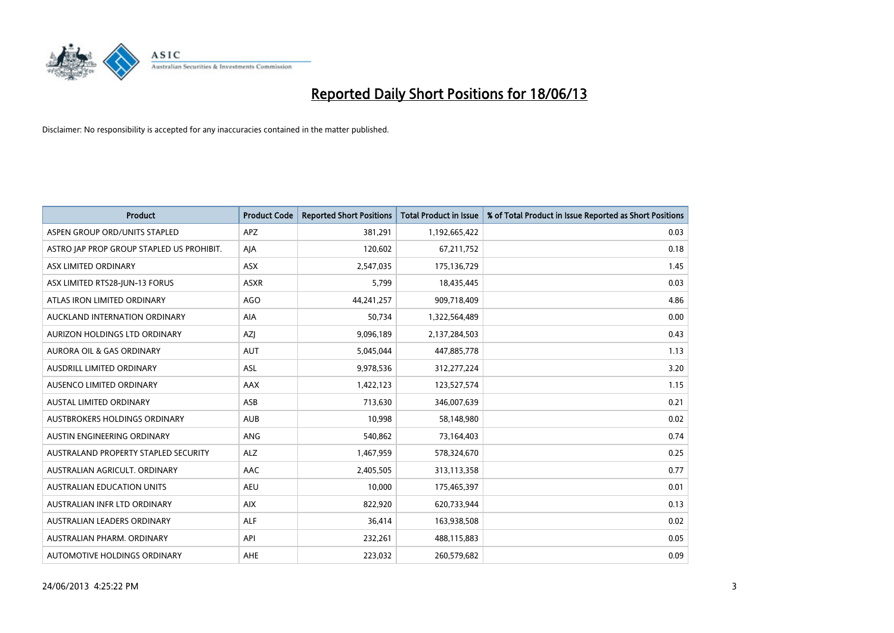

| <b>Product</b>                            | <b>Product Code</b> | <b>Reported Short Positions</b> | <b>Total Product in Issue</b> | % of Total Product in Issue Reported as Short Positions |
|-------------------------------------------|---------------------|---------------------------------|-------------------------------|---------------------------------------------------------|
| ASPEN GROUP ORD/UNITS STAPLED             | <b>APZ</b>          | 381,291                         | 1,192,665,422                 | 0.03                                                    |
| ASTRO JAP PROP GROUP STAPLED US PROHIBIT. | AJA                 | 120,602                         | 67,211,752                    | 0.18                                                    |
| ASX LIMITED ORDINARY                      | <b>ASX</b>          | 2,547,035                       | 175,136,729                   | 1.45                                                    |
| ASX LIMITED RTS28-JUN-13 FORUS            | <b>ASXR</b>         | 5,799                           | 18,435,445                    | 0.03                                                    |
| ATLAS IRON LIMITED ORDINARY               | <b>AGO</b>          | 44,241,257                      | 909,718,409                   | 4.86                                                    |
| AUCKLAND INTERNATION ORDINARY             | <b>AIA</b>          | 50,734                          | 1,322,564,489                 | 0.00                                                    |
| AURIZON HOLDINGS LTD ORDINARY             | AZJ                 | 9,096,189                       | 2,137,284,503                 | 0.43                                                    |
| AURORA OIL & GAS ORDINARY                 | <b>AUT</b>          | 5,045,044                       | 447,885,778                   | 1.13                                                    |
| AUSDRILL LIMITED ORDINARY                 | ASL                 | 9,978,536                       | 312,277,224                   | 3.20                                                    |
| AUSENCO LIMITED ORDINARY                  | AAX                 | 1,422,123                       | 123,527,574                   | 1.15                                                    |
| <b>AUSTAL LIMITED ORDINARY</b>            | ASB                 | 713,630                         | 346,007,639                   | 0.21                                                    |
| AUSTBROKERS HOLDINGS ORDINARY             | <b>AUB</b>          | 10,998                          | 58,148,980                    | 0.02                                                    |
| AUSTIN ENGINEERING ORDINARY               | ANG                 | 540,862                         | 73,164,403                    | 0.74                                                    |
| AUSTRALAND PROPERTY STAPLED SECURITY      | <b>ALZ</b>          | 1,467,959                       | 578,324,670                   | 0.25                                                    |
| AUSTRALIAN AGRICULT, ORDINARY             | AAC                 | 2,405,505                       | 313,113,358                   | 0.77                                                    |
| AUSTRALIAN EDUCATION UNITS                | <b>AEU</b>          | 10,000                          | 175,465,397                   | 0.01                                                    |
| AUSTRALIAN INFR LTD ORDINARY              | <b>AIX</b>          | 822,920                         | 620,733,944                   | 0.13                                                    |
| AUSTRALIAN LEADERS ORDINARY               | <b>ALF</b>          | 36,414                          | 163,938,508                   | 0.02                                                    |
| AUSTRALIAN PHARM, ORDINARY                | API                 | 232,261                         | 488,115,883                   | 0.05                                                    |
| AUTOMOTIVE HOLDINGS ORDINARY              | AHE                 | 223,032                         | 260,579,682                   | 0.09                                                    |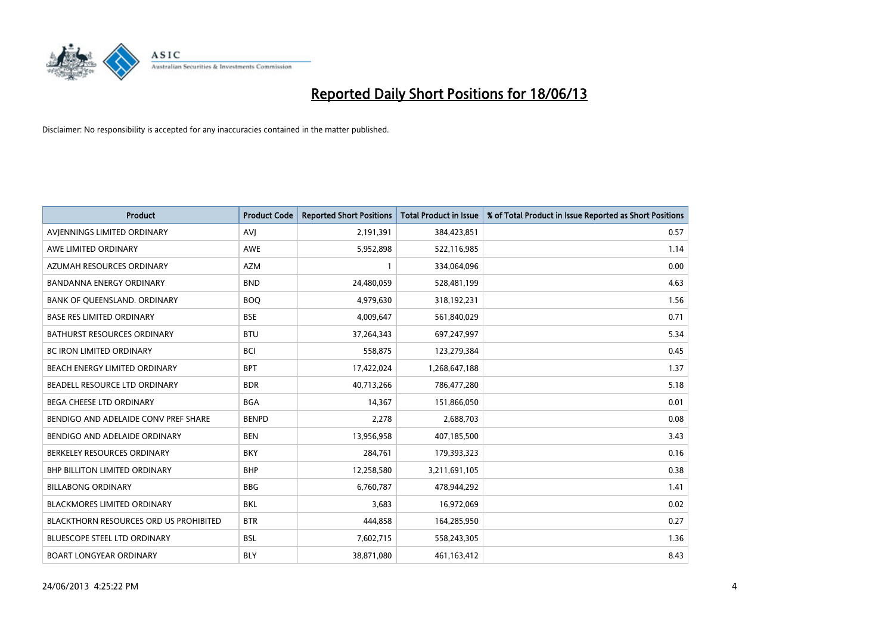

| <b>Product</b>                                | <b>Product Code</b> | <b>Reported Short Positions</b> | <b>Total Product in Issue</b> | % of Total Product in Issue Reported as Short Positions |
|-----------------------------------------------|---------------------|---------------------------------|-------------------------------|---------------------------------------------------------|
| AVIENNINGS LIMITED ORDINARY                   | <b>AVJ</b>          | 2,191,391                       | 384,423,851                   | 0.57                                                    |
| AWE LIMITED ORDINARY                          | <b>AWE</b>          | 5,952,898                       | 522,116,985                   | 1.14                                                    |
| AZUMAH RESOURCES ORDINARY                     | <b>AZM</b>          | 1                               | 334,064,096                   | 0.00                                                    |
| <b>BANDANNA ENERGY ORDINARY</b>               | <b>BND</b>          | 24,480,059                      | 528,481,199                   | 4.63                                                    |
| BANK OF QUEENSLAND. ORDINARY                  | <b>BOQ</b>          | 4,979,630                       | 318,192,231                   | 1.56                                                    |
| <b>BASE RES LIMITED ORDINARY</b>              | <b>BSE</b>          | 4,009,647                       | 561,840,029                   | 0.71                                                    |
| BATHURST RESOURCES ORDINARY                   | <b>BTU</b>          | 37,264,343                      | 697,247,997                   | 5.34                                                    |
| <b>BC IRON LIMITED ORDINARY</b>               | <b>BCI</b>          | 558,875                         | 123,279,384                   | 0.45                                                    |
| BEACH ENERGY LIMITED ORDINARY                 | <b>BPT</b>          | 17,422,024                      | 1,268,647,188                 | 1.37                                                    |
| BEADELL RESOURCE LTD ORDINARY                 | <b>BDR</b>          | 40,713,266                      | 786,477,280                   | 5.18                                                    |
| BEGA CHEESE LTD ORDINARY                      | <b>BGA</b>          | 14,367                          | 151,866,050                   | 0.01                                                    |
| BENDIGO AND ADELAIDE CONV PREF SHARE          | <b>BENPD</b>        | 2,278                           | 2,688,703                     | 0.08                                                    |
| BENDIGO AND ADELAIDE ORDINARY                 | <b>BEN</b>          | 13,956,958                      | 407,185,500                   | 3.43                                                    |
| BERKELEY RESOURCES ORDINARY                   | <b>BKY</b>          | 284,761                         | 179,393,323                   | 0.16                                                    |
| <b>BHP BILLITON LIMITED ORDINARY</b>          | <b>BHP</b>          | 12,258,580                      | 3,211,691,105                 | 0.38                                                    |
| <b>BILLABONG ORDINARY</b>                     | <b>BBG</b>          | 6,760,787                       | 478,944,292                   | 1.41                                                    |
| BLACKMORES LIMITED ORDINARY                   | <b>BKL</b>          | 3,683                           | 16,972,069                    | 0.02                                                    |
| <b>BLACKTHORN RESOURCES ORD US PROHIBITED</b> | <b>BTR</b>          | 444,858                         | 164,285,950                   | 0.27                                                    |
| <b>BLUESCOPE STEEL LTD ORDINARY</b>           | <b>BSL</b>          | 7,602,715                       | 558,243,305                   | 1.36                                                    |
| <b>BOART LONGYEAR ORDINARY</b>                | <b>BLY</b>          | 38,871,080                      | 461,163,412                   | 8.43                                                    |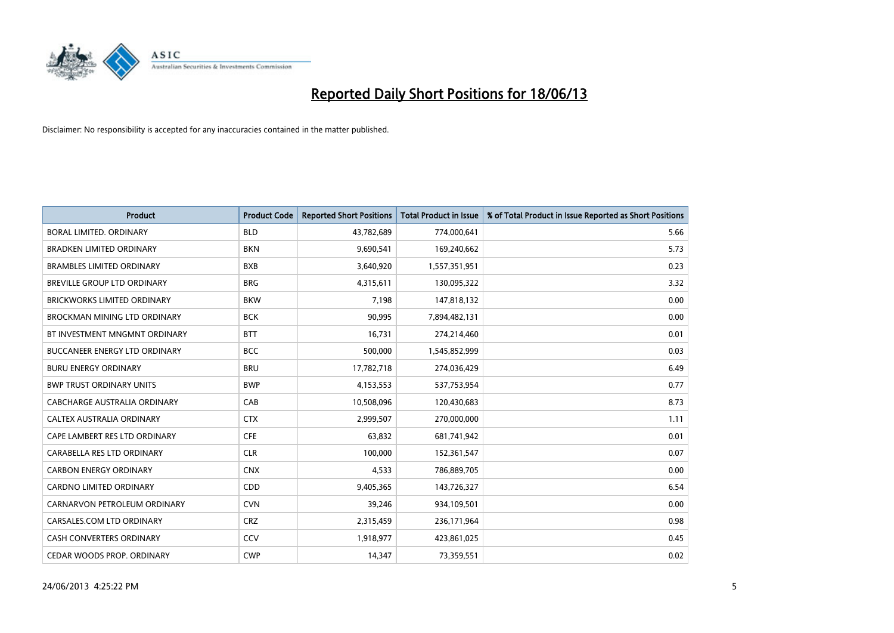

| <b>Product</b>                      | <b>Product Code</b> | <b>Reported Short Positions</b> | <b>Total Product in Issue</b> | % of Total Product in Issue Reported as Short Positions |
|-------------------------------------|---------------------|---------------------------------|-------------------------------|---------------------------------------------------------|
| <b>BORAL LIMITED, ORDINARY</b>      | <b>BLD</b>          | 43,782,689                      | 774,000,641                   | 5.66                                                    |
| <b>BRADKEN LIMITED ORDINARY</b>     | <b>BKN</b>          | 9,690,541                       | 169,240,662                   | 5.73                                                    |
| <b>BRAMBLES LIMITED ORDINARY</b>    | <b>BXB</b>          | 3,640,920                       | 1,557,351,951                 | 0.23                                                    |
| BREVILLE GROUP LTD ORDINARY         | <b>BRG</b>          | 4,315,611                       | 130,095,322                   | 3.32                                                    |
| <b>BRICKWORKS LIMITED ORDINARY</b>  | <b>BKW</b>          | 7,198                           | 147,818,132                   | 0.00                                                    |
| <b>BROCKMAN MINING LTD ORDINARY</b> | <b>BCK</b>          | 90,995                          | 7,894,482,131                 | 0.00                                                    |
| BT INVESTMENT MNGMNT ORDINARY       | <b>BTT</b>          | 16,731                          | 274,214,460                   | 0.01                                                    |
| BUCCANEER ENERGY LTD ORDINARY       | <b>BCC</b>          | 500,000                         | 1,545,852,999                 | 0.03                                                    |
| <b>BURU ENERGY ORDINARY</b>         | <b>BRU</b>          | 17,782,718                      | 274,036,429                   | 6.49                                                    |
| <b>BWP TRUST ORDINARY UNITS</b>     | <b>BWP</b>          | 4,153,553                       | 537,753,954                   | 0.77                                                    |
| CABCHARGE AUSTRALIA ORDINARY        | CAB                 | 10,508,096                      | 120,430,683                   | 8.73                                                    |
| <b>CALTEX AUSTRALIA ORDINARY</b>    | <b>CTX</b>          | 2,999,507                       | 270,000,000                   | 1.11                                                    |
| CAPE LAMBERT RES LTD ORDINARY       | <b>CFE</b>          | 63,832                          | 681,741,942                   | 0.01                                                    |
| CARABELLA RES LTD ORDINARY          | <b>CLR</b>          | 100,000                         | 152,361,547                   | 0.07                                                    |
| <b>CARBON ENERGY ORDINARY</b>       | <b>CNX</b>          | 4,533                           | 786,889,705                   | 0.00                                                    |
| CARDNO LIMITED ORDINARY             | CDD                 | 9,405,365                       | 143,726,327                   | 6.54                                                    |
| CARNARVON PETROLEUM ORDINARY        | <b>CVN</b>          | 39,246                          | 934,109,501                   | 0.00                                                    |
| CARSALES.COM LTD ORDINARY           | <b>CRZ</b>          | 2,315,459                       | 236,171,964                   | 0.98                                                    |
| <b>CASH CONVERTERS ORDINARY</b>     | CCV                 | 1,918,977                       | 423,861,025                   | 0.45                                                    |
| CEDAR WOODS PROP. ORDINARY          | <b>CWP</b>          | 14,347                          | 73,359,551                    | 0.02                                                    |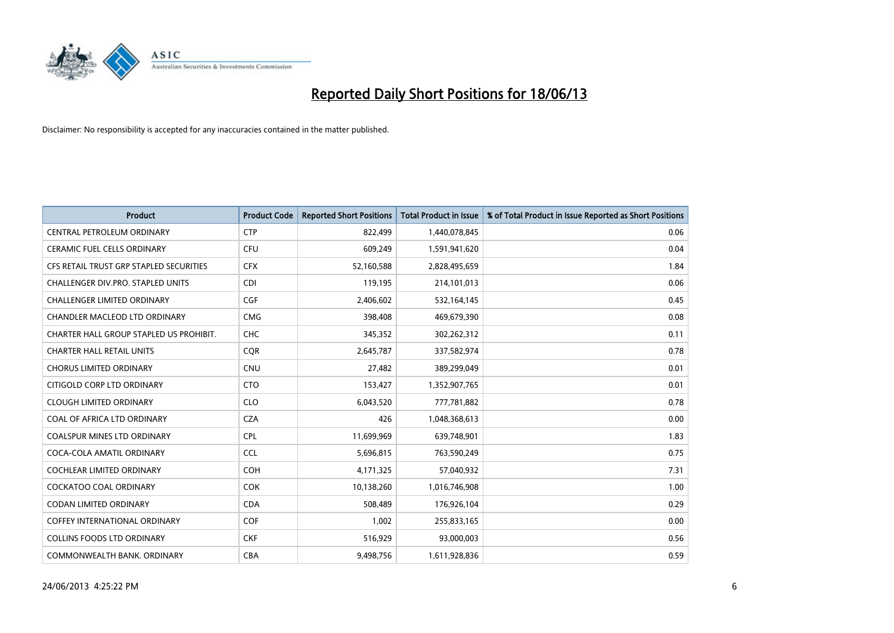

| <b>Product</b>                          | <b>Product Code</b> | <b>Reported Short Positions</b> | <b>Total Product in Issue</b> | % of Total Product in Issue Reported as Short Positions |
|-----------------------------------------|---------------------|---------------------------------|-------------------------------|---------------------------------------------------------|
| CENTRAL PETROLEUM ORDINARY              | <b>CTP</b>          | 822,499                         | 1,440,078,845                 | 0.06                                                    |
| CERAMIC FUEL CELLS ORDINARY             | <b>CFU</b>          | 609,249                         | 1,591,941,620                 | 0.04                                                    |
| CFS RETAIL TRUST GRP STAPLED SECURITIES | <b>CFX</b>          | 52,160,588                      | 2,828,495,659                 | 1.84                                                    |
| CHALLENGER DIV.PRO. STAPLED UNITS       | <b>CDI</b>          | 119,195                         | 214,101,013                   | 0.06                                                    |
| <b>CHALLENGER LIMITED ORDINARY</b>      | <b>CGF</b>          | 2,406,602                       | 532,164,145                   | 0.45                                                    |
| CHANDLER MACLEOD LTD ORDINARY           | <b>CMG</b>          | 398,408                         | 469,679,390                   | 0.08                                                    |
| CHARTER HALL GROUP STAPLED US PROHIBIT. | <b>CHC</b>          | 345,352                         | 302,262,312                   | 0.11                                                    |
| <b>CHARTER HALL RETAIL UNITS</b>        | <b>CQR</b>          | 2,645,787                       | 337,582,974                   | 0.78                                                    |
| <b>CHORUS LIMITED ORDINARY</b>          | <b>CNU</b>          | 27,482                          | 389,299,049                   | 0.01                                                    |
| CITIGOLD CORP LTD ORDINARY              | <b>CTO</b>          | 153,427                         | 1,352,907,765                 | 0.01                                                    |
| <b>CLOUGH LIMITED ORDINARY</b>          | <b>CLO</b>          | 6,043,520                       | 777,781,882                   | 0.78                                                    |
| COAL OF AFRICA LTD ORDINARY             | <b>CZA</b>          | 426                             | 1,048,368,613                 | 0.00                                                    |
| <b>COALSPUR MINES LTD ORDINARY</b>      | <b>CPL</b>          | 11,699,969                      | 639,748,901                   | 1.83                                                    |
| COCA-COLA AMATIL ORDINARY               | <b>CCL</b>          | 5,696,815                       | 763,590,249                   | 0.75                                                    |
| <b>COCHLEAR LIMITED ORDINARY</b>        | <b>COH</b>          | 4,171,325                       | 57,040,932                    | 7.31                                                    |
| <b>COCKATOO COAL ORDINARY</b>           | <b>COK</b>          | 10,138,260                      | 1,016,746,908                 | 1.00                                                    |
| CODAN LIMITED ORDINARY                  | <b>CDA</b>          | 508,489                         | 176,926,104                   | 0.29                                                    |
| <b>COFFEY INTERNATIONAL ORDINARY</b>    | <b>COF</b>          | 1,002                           | 255,833,165                   | 0.00                                                    |
| COLLINS FOODS LTD ORDINARY              | <b>CKF</b>          | 516,929                         | 93,000,003                    | 0.56                                                    |
| COMMONWEALTH BANK, ORDINARY             | <b>CBA</b>          | 9,498,756                       | 1,611,928,836                 | 0.59                                                    |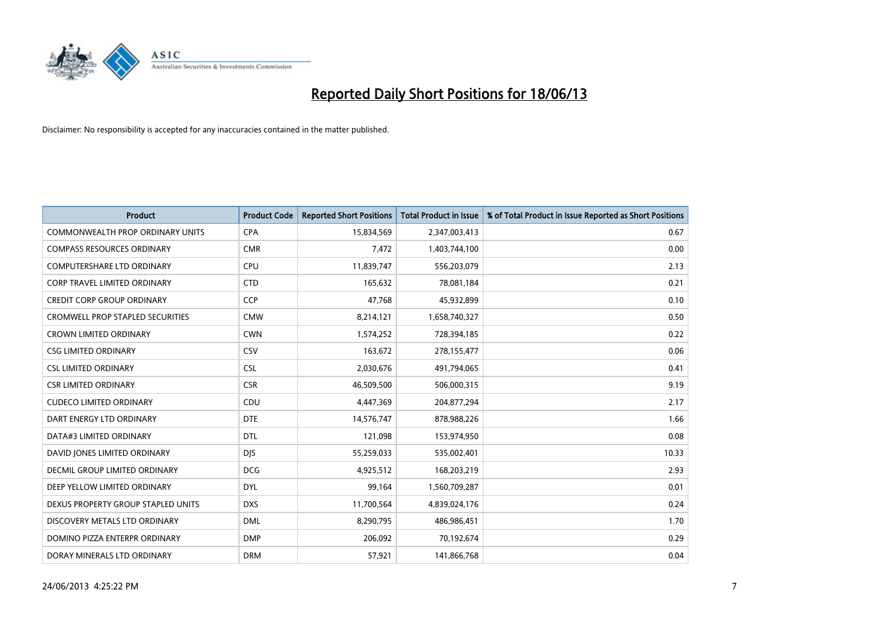

| <b>Product</b>                          | <b>Product Code</b> | <b>Reported Short Positions</b> | <b>Total Product in Issue</b> | % of Total Product in Issue Reported as Short Positions |
|-----------------------------------------|---------------------|---------------------------------|-------------------------------|---------------------------------------------------------|
| <b>COMMONWEALTH PROP ORDINARY UNITS</b> | <b>CPA</b>          | 15,834,569                      | 2,347,003,413                 | 0.67                                                    |
| <b>COMPASS RESOURCES ORDINARY</b>       | <b>CMR</b>          | 7,472                           | 1,403,744,100                 | 0.00                                                    |
| <b>COMPUTERSHARE LTD ORDINARY</b>       | <b>CPU</b>          | 11,839,747                      | 556,203,079                   | 2.13                                                    |
| CORP TRAVEL LIMITED ORDINARY            | <b>CTD</b>          | 165,632                         | 78,081,184                    | 0.21                                                    |
| <b>CREDIT CORP GROUP ORDINARY</b>       | <b>CCP</b>          | 47,768                          | 45,932,899                    | 0.10                                                    |
| <b>CROMWELL PROP STAPLED SECURITIES</b> | <b>CMW</b>          | 8,214,121                       | 1,658,740,327                 | 0.50                                                    |
| <b>CROWN LIMITED ORDINARY</b>           | <b>CWN</b>          | 1,574,252                       | 728,394,185                   | 0.22                                                    |
| <b>CSG LIMITED ORDINARY</b>             | CSV                 | 163,672                         | 278,155,477                   | 0.06                                                    |
| <b>CSL LIMITED ORDINARY</b>             | <b>CSL</b>          | 2,030,676                       | 491,794,065                   | 0.41                                                    |
| <b>CSR LIMITED ORDINARY</b>             | <b>CSR</b>          | 46,509,500                      | 506,000,315                   | 9.19                                                    |
| <b>CUDECO LIMITED ORDINARY</b>          | CDU                 | 4,447,369                       | 204,877,294                   | 2.17                                                    |
| DART ENERGY LTD ORDINARY                | <b>DTE</b>          | 14,576,747                      | 878,988,226                   | 1.66                                                    |
| DATA#3 LIMITED ORDINARY                 | <b>DTL</b>          | 121,098                         | 153,974,950                   | 0.08                                                    |
| DAVID JONES LIMITED ORDINARY            | <b>DJS</b>          | 55,259,033                      | 535,002,401                   | 10.33                                                   |
| DECMIL GROUP LIMITED ORDINARY           | <b>DCG</b>          | 4,925,512                       | 168,203,219                   | 2.93                                                    |
| DEEP YELLOW LIMITED ORDINARY            | <b>DYL</b>          | 99,164                          | 1,560,709,287                 | 0.01                                                    |
| DEXUS PROPERTY GROUP STAPLED UNITS      | <b>DXS</b>          | 11,700,564                      | 4,839,024,176                 | 0.24                                                    |
| DISCOVERY METALS LTD ORDINARY           | <b>DML</b>          | 8,290,795                       | 486,986,451                   | 1.70                                                    |
| DOMINO PIZZA ENTERPR ORDINARY           | <b>DMP</b>          | 206,092                         | 70,192,674                    | 0.29                                                    |
| DORAY MINERALS LTD ORDINARY             | <b>DRM</b>          | 57,921                          | 141,866,768                   | 0.04                                                    |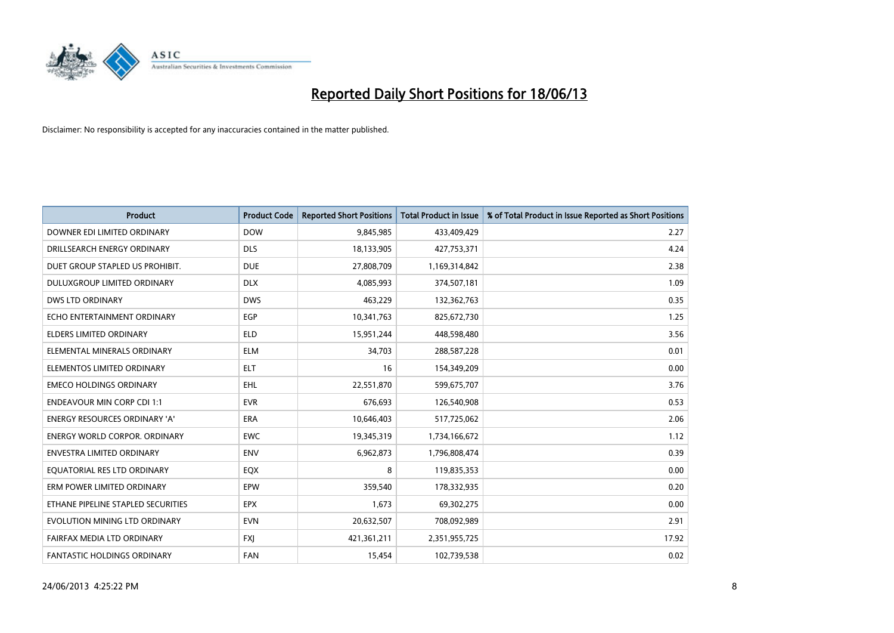

| <b>Product</b>                       | <b>Product Code</b> | <b>Reported Short Positions</b> | <b>Total Product in Issue</b> | % of Total Product in Issue Reported as Short Positions |
|--------------------------------------|---------------------|---------------------------------|-------------------------------|---------------------------------------------------------|
| DOWNER EDI LIMITED ORDINARY          | <b>DOW</b>          | 9,845,985                       | 433,409,429                   | 2.27                                                    |
| DRILLSEARCH ENERGY ORDINARY          | <b>DLS</b>          | 18,133,905                      | 427,753,371                   | 4.24                                                    |
| DUET GROUP STAPLED US PROHIBIT.      | <b>DUE</b>          | 27,808,709                      | 1,169,314,842                 | 2.38                                                    |
| DULUXGROUP LIMITED ORDINARY          | <b>DLX</b>          | 4,085,993                       | 374,507,181                   | 1.09                                                    |
| <b>DWS LTD ORDINARY</b>              | <b>DWS</b>          | 463,229                         | 132,362,763                   | 0.35                                                    |
| ECHO ENTERTAINMENT ORDINARY          | EGP                 | 10,341,763                      | 825,672,730                   | 1.25                                                    |
| <b>ELDERS LIMITED ORDINARY</b>       | <b>ELD</b>          | 15,951,244                      | 448,598,480                   | 3.56                                                    |
| ELEMENTAL MINERALS ORDINARY          | <b>ELM</b>          | 34,703                          | 288,587,228                   | 0.01                                                    |
| ELEMENTOS LIMITED ORDINARY           | <b>ELT</b>          | 16                              | 154,349,209                   | 0.00                                                    |
| <b>EMECO HOLDINGS ORDINARY</b>       | <b>EHL</b>          | 22,551,870                      | 599,675,707                   | 3.76                                                    |
| <b>ENDEAVOUR MIN CORP CDI 1:1</b>    | <b>EVR</b>          | 676,693                         | 126,540,908                   | 0.53                                                    |
| <b>ENERGY RESOURCES ORDINARY 'A'</b> | ERA                 | 10,646,403                      | 517,725,062                   | 2.06                                                    |
| <b>ENERGY WORLD CORPOR. ORDINARY</b> | <b>EWC</b>          | 19,345,319                      | 1,734,166,672                 | 1.12                                                    |
| <b>ENVESTRA LIMITED ORDINARY</b>     | <b>ENV</b>          | 6,962,873                       | 1,796,808,474                 | 0.39                                                    |
| EQUATORIAL RES LTD ORDINARY          | EQX                 | 8                               | 119,835,353                   | 0.00                                                    |
| ERM POWER LIMITED ORDINARY           | EPW                 | 359,540                         | 178,332,935                   | 0.20                                                    |
| ETHANE PIPELINE STAPLED SECURITIES   | <b>EPX</b>          | 1,673                           | 69,302,275                    | 0.00                                                    |
| EVOLUTION MINING LTD ORDINARY        | <b>EVN</b>          | 20,632,507                      | 708,092,989                   | 2.91                                                    |
| FAIRFAX MEDIA LTD ORDINARY           | <b>FXI</b>          | 421,361,211                     | 2,351,955,725                 | 17.92                                                   |
| FANTASTIC HOLDINGS ORDINARY          | <b>FAN</b>          | 15,454                          | 102,739,538                   | 0.02                                                    |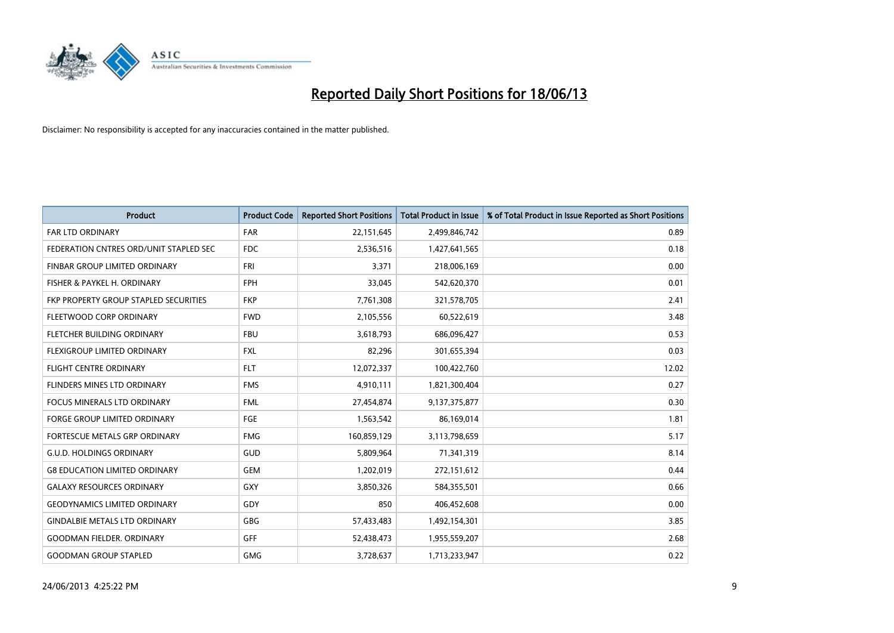

| <b>Product</b>                         | <b>Product Code</b> | <b>Reported Short Positions</b> | <b>Total Product in Issue</b> | % of Total Product in Issue Reported as Short Positions |
|----------------------------------------|---------------------|---------------------------------|-------------------------------|---------------------------------------------------------|
| <b>FAR LTD ORDINARY</b>                | <b>FAR</b>          | 22,151,645                      | 2,499,846,742                 | 0.89                                                    |
| FEDERATION CNTRES ORD/UNIT STAPLED SEC | <b>FDC</b>          | 2,536,516                       | 1,427,641,565                 | 0.18                                                    |
| FINBAR GROUP LIMITED ORDINARY          | FRI                 | 3,371                           | 218,006,169                   | 0.00                                                    |
| FISHER & PAYKEL H. ORDINARY            | <b>FPH</b>          | 33,045                          | 542,620,370                   | 0.01                                                    |
| FKP PROPERTY GROUP STAPLED SECURITIES  | <b>FKP</b>          | 7,761,308                       | 321,578,705                   | 2.41                                                    |
| FLEETWOOD CORP ORDINARY                | <b>FWD</b>          | 2,105,556                       | 60,522,619                    | 3.48                                                    |
| FLETCHER BUILDING ORDINARY             | <b>FBU</b>          | 3,618,793                       | 686,096,427                   | 0.53                                                    |
| <b>FLEXIGROUP LIMITED ORDINARY</b>     | <b>FXL</b>          | 82,296                          | 301,655,394                   | 0.03                                                    |
| FLIGHT CENTRE ORDINARY                 | <b>FLT</b>          | 12,072,337                      | 100,422,760                   | 12.02                                                   |
| FLINDERS MINES LTD ORDINARY            | <b>FMS</b>          | 4,910,111                       | 1,821,300,404                 | 0.27                                                    |
| <b>FOCUS MINERALS LTD ORDINARY</b>     | <b>FML</b>          | 27,454,874                      | 9,137,375,877                 | 0.30                                                    |
| <b>FORGE GROUP LIMITED ORDINARY</b>    | FGE                 | 1,563,542                       | 86,169,014                    | 1.81                                                    |
| FORTESCUE METALS GRP ORDINARY          | <b>FMG</b>          | 160,859,129                     | 3,113,798,659                 | 5.17                                                    |
| <b>G.U.D. HOLDINGS ORDINARY</b>        | GUD                 | 5,809,964                       | 71,341,319                    | 8.14                                                    |
| <b>G8 EDUCATION LIMITED ORDINARY</b>   | <b>GEM</b>          | 1,202,019                       | 272,151,612                   | 0.44                                                    |
| <b>GALAXY RESOURCES ORDINARY</b>       | GXY                 | 3,850,326                       | 584,355,501                   | 0.66                                                    |
| <b>GEODYNAMICS LIMITED ORDINARY</b>    | GDY                 | 850                             | 406,452,608                   | 0.00                                                    |
| <b>GINDALBIE METALS LTD ORDINARY</b>   | <b>GBG</b>          | 57,433,483                      | 1,492,154,301                 | 3.85                                                    |
| <b>GOODMAN FIELDER, ORDINARY</b>       | <b>GFF</b>          | 52,438,473                      | 1,955,559,207                 | 2.68                                                    |
| <b>GOODMAN GROUP STAPLED</b>           | <b>GMG</b>          | 3,728,637                       | 1,713,233,947                 | 0.22                                                    |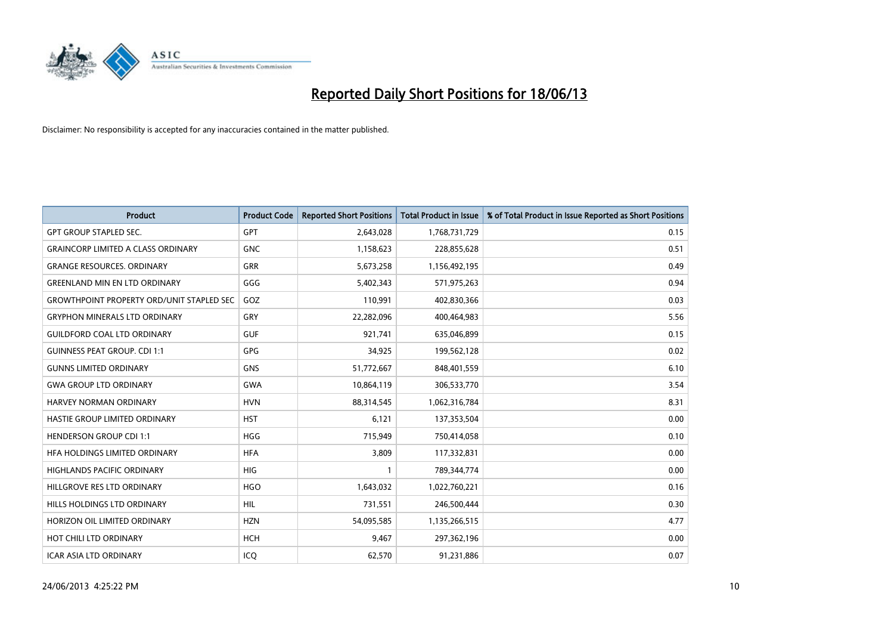

| <b>Product</b>                                   | <b>Product Code</b> | <b>Reported Short Positions</b> | <b>Total Product in Issue</b> | % of Total Product in Issue Reported as Short Positions |
|--------------------------------------------------|---------------------|---------------------------------|-------------------------------|---------------------------------------------------------|
| <b>GPT GROUP STAPLED SEC.</b>                    | <b>GPT</b>          | 2,643,028                       | 1,768,731,729                 | 0.15                                                    |
| <b>GRAINCORP LIMITED A CLASS ORDINARY</b>        | <b>GNC</b>          | 1,158,623                       | 228,855,628                   | 0.51                                                    |
| <b>GRANGE RESOURCES, ORDINARY</b>                | <b>GRR</b>          | 5,673,258                       | 1,156,492,195                 | 0.49                                                    |
| <b>GREENLAND MIN EN LTD ORDINARY</b>             | GGG                 | 5,402,343                       | 571,975,263                   | 0.94                                                    |
| <b>GROWTHPOINT PROPERTY ORD/UNIT STAPLED SEC</b> | GOZ                 | 110,991                         | 402,830,366                   | 0.03                                                    |
| <b>GRYPHON MINERALS LTD ORDINARY</b>             | GRY                 | 22,282,096                      | 400,464,983                   | 5.56                                                    |
| <b>GUILDFORD COAL LTD ORDINARY</b>               | <b>GUF</b>          | 921,741                         | 635,046,899                   | 0.15                                                    |
| <b>GUINNESS PEAT GROUP. CDI 1:1</b>              | <b>GPG</b>          | 34,925                          | 199,562,128                   | 0.02                                                    |
| <b>GUNNS LIMITED ORDINARY</b>                    | GNS                 | 51,772,667                      | 848,401,559                   | 6.10                                                    |
| <b>GWA GROUP LTD ORDINARY</b>                    | <b>GWA</b>          | 10,864,119                      | 306,533,770                   | 3.54                                                    |
| <b>HARVEY NORMAN ORDINARY</b>                    | <b>HVN</b>          | 88,314,545                      | 1,062,316,784                 | 8.31                                                    |
| HASTIE GROUP LIMITED ORDINARY                    | <b>HST</b>          | 6,121                           | 137,353,504                   | 0.00                                                    |
| <b>HENDERSON GROUP CDI 1:1</b>                   | <b>HGG</b>          | 715,949                         | 750,414,058                   | 0.10                                                    |
| HFA HOLDINGS LIMITED ORDINARY                    | <b>HFA</b>          | 3,809                           | 117,332,831                   | 0.00                                                    |
| <b>HIGHLANDS PACIFIC ORDINARY</b>                | HIG                 | $\mathbf{1}$                    | 789,344,774                   | 0.00                                                    |
| HILLGROVE RES LTD ORDINARY                       | <b>HGO</b>          | 1,643,032                       | 1,022,760,221                 | 0.16                                                    |
| HILLS HOLDINGS LTD ORDINARY                      | <b>HIL</b>          | 731,551                         | 246,500,444                   | 0.30                                                    |
| HORIZON OIL LIMITED ORDINARY                     | <b>HZN</b>          | 54,095,585                      | 1,135,266,515                 | 4.77                                                    |
| HOT CHILI LTD ORDINARY                           | <b>HCH</b>          | 9,467                           | 297,362,196                   | 0.00                                                    |
| <b>ICAR ASIA LTD ORDINARY</b>                    | ICQ                 | 62,570                          | 91,231,886                    | 0.07                                                    |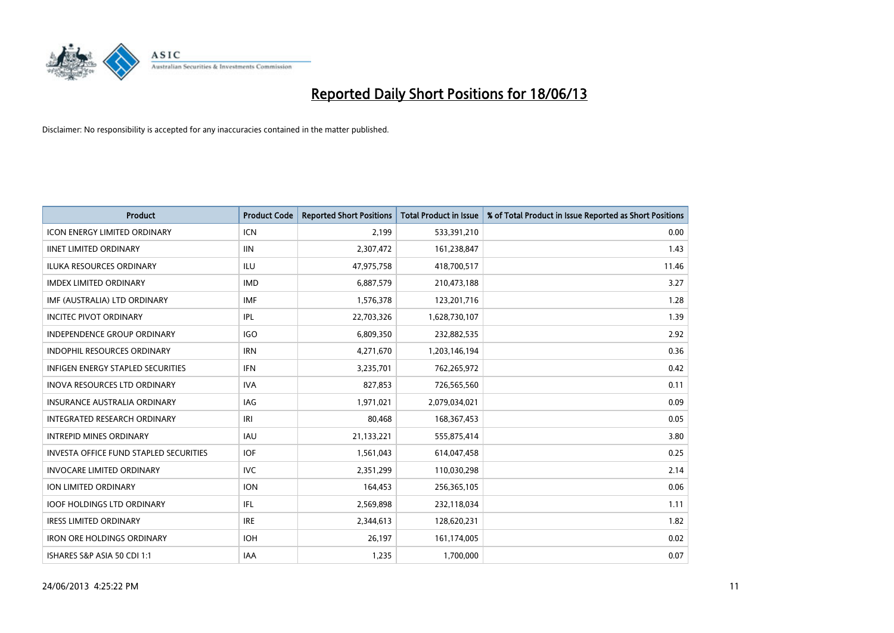

| <b>Product</b>                                | <b>Product Code</b> | <b>Reported Short Positions</b> | <b>Total Product in Issue</b> | % of Total Product in Issue Reported as Short Positions |
|-----------------------------------------------|---------------------|---------------------------------|-------------------------------|---------------------------------------------------------|
| <b>ICON ENERGY LIMITED ORDINARY</b>           | <b>ICN</b>          | 2.199                           | 533,391,210                   | 0.00                                                    |
| <b>IINET LIMITED ORDINARY</b>                 | <b>IIN</b>          | 2,307,472                       | 161,238,847                   | 1.43                                                    |
| <b>ILUKA RESOURCES ORDINARY</b>               | ILU                 | 47,975,758                      | 418,700,517                   | 11.46                                                   |
| <b>IMDEX LIMITED ORDINARY</b>                 | <b>IMD</b>          | 6,887,579                       | 210,473,188                   | 3.27                                                    |
| IMF (AUSTRALIA) LTD ORDINARY                  | <b>IMF</b>          | 1,576,378                       | 123,201,716                   | 1.28                                                    |
| <b>INCITEC PIVOT ORDINARY</b>                 | IPL                 | 22,703,326                      | 1,628,730,107                 | 1.39                                                    |
| <b>INDEPENDENCE GROUP ORDINARY</b>            | <b>IGO</b>          | 6,809,350                       | 232,882,535                   | 2.92                                                    |
| INDOPHIL RESOURCES ORDINARY                   | <b>IRN</b>          | 4,271,670                       | 1,203,146,194                 | 0.36                                                    |
| <b>INFIGEN ENERGY STAPLED SECURITIES</b>      | <b>IFN</b>          | 3,235,701                       | 762,265,972                   | 0.42                                                    |
| <b>INOVA RESOURCES LTD ORDINARY</b>           | <b>IVA</b>          | 827,853                         | 726,565,560                   | 0.11                                                    |
| INSURANCE AUSTRALIA ORDINARY                  | <b>IAG</b>          | 1,971,021                       | 2,079,034,021                 | 0.09                                                    |
| INTEGRATED RESEARCH ORDINARY                  | IRI                 | 80,468                          | 168,367,453                   | 0.05                                                    |
| <b>INTREPID MINES ORDINARY</b>                | <b>IAU</b>          | 21,133,221                      | 555,875,414                   | 3.80                                                    |
| <b>INVESTA OFFICE FUND STAPLED SECURITIES</b> | <b>IOF</b>          | 1,561,043                       | 614,047,458                   | 0.25                                                    |
| <b>INVOCARE LIMITED ORDINARY</b>              | <b>IVC</b>          | 2,351,299                       | 110,030,298                   | 2.14                                                    |
| ION LIMITED ORDINARY                          | <b>ION</b>          | 164,453                         | 256,365,105                   | 0.06                                                    |
| <b>IOOF HOLDINGS LTD ORDINARY</b>             | IFL                 | 2,569,898                       | 232,118,034                   | 1.11                                                    |
| <b>IRESS LIMITED ORDINARY</b>                 | <b>IRE</b>          | 2,344,613                       | 128,620,231                   | 1.82                                                    |
| <b>IRON ORE HOLDINGS ORDINARY</b>             | <b>IOH</b>          | 26,197                          | 161,174,005                   | 0.02                                                    |
| ISHARES S&P ASIA 50 CDI 1:1                   | <b>IAA</b>          | 1,235                           | 1,700,000                     | 0.07                                                    |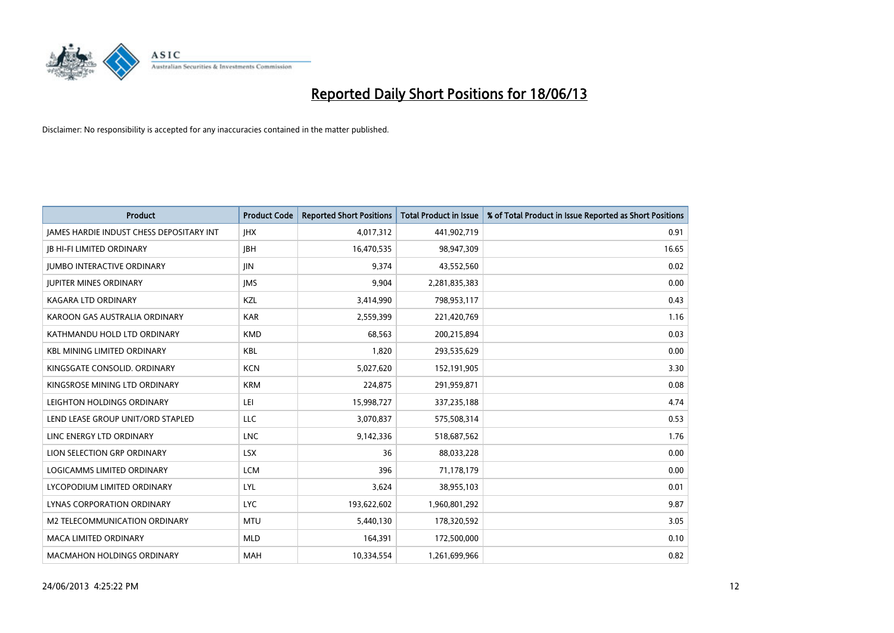

| <b>Product</b>                           | <b>Product Code</b> | <b>Reported Short Positions</b> | <b>Total Product in Issue</b> | % of Total Product in Issue Reported as Short Positions |
|------------------------------------------|---------------------|---------------------------------|-------------------------------|---------------------------------------------------------|
| JAMES HARDIE INDUST CHESS DEPOSITARY INT | <b>IHX</b>          | 4,017,312                       | 441,902,719                   | 0.91                                                    |
| <b>JB HI-FI LIMITED ORDINARY</b>         | <b>JBH</b>          | 16,470,535                      | 98,947,309                    | 16.65                                                   |
| <b>JUMBO INTERACTIVE ORDINARY</b>        | <b>JIN</b>          | 9,374                           | 43,552,560                    | 0.02                                                    |
| <b>JUPITER MINES ORDINARY</b>            | <b>IMS</b>          | 9,904                           | 2,281,835,383                 | 0.00                                                    |
| <b>KAGARA LTD ORDINARY</b>               | KZL                 | 3,414,990                       | 798,953,117                   | 0.43                                                    |
| KAROON GAS AUSTRALIA ORDINARY            | <b>KAR</b>          | 2,559,399                       | 221,420,769                   | 1.16                                                    |
| KATHMANDU HOLD LTD ORDINARY              | <b>KMD</b>          | 68,563                          | 200,215,894                   | 0.03                                                    |
| <b>KBL MINING LIMITED ORDINARY</b>       | <b>KBL</b>          | 1,820                           | 293,535,629                   | 0.00                                                    |
| KINGSGATE CONSOLID. ORDINARY             | <b>KCN</b>          | 5,027,620                       | 152,191,905                   | 3.30                                                    |
| KINGSROSE MINING LTD ORDINARY            | <b>KRM</b>          | 224,875                         | 291,959,871                   | 0.08                                                    |
| LEIGHTON HOLDINGS ORDINARY               | LEI                 | 15,998,727                      | 337,235,188                   | 4.74                                                    |
| LEND LEASE GROUP UNIT/ORD STAPLED        | LLC                 | 3,070,837                       | 575,508,314                   | 0.53                                                    |
| LINC ENERGY LTD ORDINARY                 | <b>LNC</b>          | 9,142,336                       | 518,687,562                   | 1.76                                                    |
| LION SELECTION GRP ORDINARY              | <b>LSX</b>          | 36                              | 88,033,228                    | 0.00                                                    |
| LOGICAMMS LIMITED ORDINARY               | <b>LCM</b>          | 396                             | 71,178,179                    | 0.00                                                    |
| LYCOPODIUM LIMITED ORDINARY              | <b>LYL</b>          | 3,624                           | 38,955,103                    | 0.01                                                    |
| LYNAS CORPORATION ORDINARY               | <b>LYC</b>          | 193,622,602                     | 1,960,801,292                 | 9.87                                                    |
| M2 TELECOMMUNICATION ORDINARY            | <b>MTU</b>          | 5,440,130                       | 178,320,592                   | 3.05                                                    |
| <b>MACA LIMITED ORDINARY</b>             | <b>MLD</b>          | 164,391                         | 172,500,000                   | 0.10                                                    |
| <b>MACMAHON HOLDINGS ORDINARY</b>        | <b>MAH</b>          | 10,334,554                      | 1,261,699,966                 | 0.82                                                    |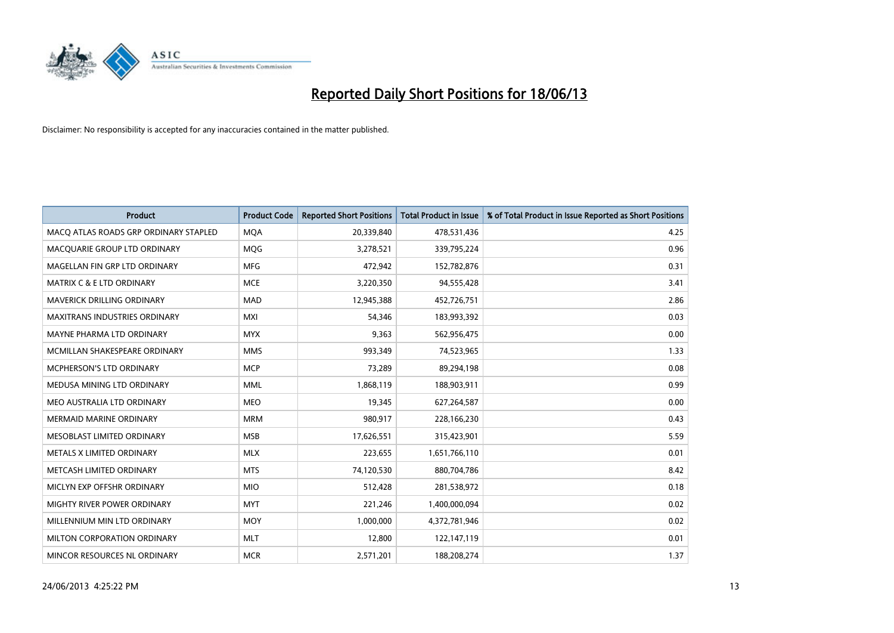

| Product                               | <b>Product Code</b> | <b>Reported Short Positions</b> | <b>Total Product in Issue</b> | % of Total Product in Issue Reported as Short Positions |
|---------------------------------------|---------------------|---------------------------------|-------------------------------|---------------------------------------------------------|
| MACO ATLAS ROADS GRP ORDINARY STAPLED | <b>MQA</b>          | 20,339,840                      | 478,531,436                   | 4.25                                                    |
| MACQUARIE GROUP LTD ORDINARY          | <b>MOG</b>          | 3,278,521                       | 339,795,224                   | 0.96                                                    |
| MAGELLAN FIN GRP LTD ORDINARY         | MFG                 | 472,942                         | 152,782,876                   | 0.31                                                    |
| MATRIX C & E LTD ORDINARY             | <b>MCE</b>          | 3,220,350                       | 94,555,428                    | 3.41                                                    |
| <b>MAVERICK DRILLING ORDINARY</b>     | MAD                 | 12,945,388                      | 452,726,751                   | 2.86                                                    |
| <b>MAXITRANS INDUSTRIES ORDINARY</b>  | <b>MXI</b>          | 54,346                          | 183,993,392                   | 0.03                                                    |
| MAYNE PHARMA LTD ORDINARY             | <b>MYX</b>          | 9,363                           | 562,956,475                   | 0.00                                                    |
| MCMILLAN SHAKESPEARE ORDINARY         | <b>MMS</b>          | 993,349                         | 74,523,965                    | 1.33                                                    |
| <b>MCPHERSON'S LTD ORDINARY</b>       | <b>MCP</b>          | 73,289                          | 89,294,198                    | 0.08                                                    |
| MEDUSA MINING LTD ORDINARY            | <b>MML</b>          | 1,868,119                       | 188,903,911                   | 0.99                                                    |
| MEO AUSTRALIA LTD ORDINARY            | <b>MEO</b>          | 19,345                          | 627,264,587                   | 0.00                                                    |
| <b>MERMAID MARINE ORDINARY</b>        | <b>MRM</b>          | 980,917                         | 228,166,230                   | 0.43                                                    |
| MESOBLAST LIMITED ORDINARY            | <b>MSB</b>          | 17,626,551                      | 315,423,901                   | 5.59                                                    |
| METALS X LIMITED ORDINARY             | <b>MLX</b>          | 223,655                         | 1,651,766,110                 | 0.01                                                    |
| METCASH LIMITED ORDINARY              | <b>MTS</b>          | 74,120,530                      | 880,704,786                   | 8.42                                                    |
| MICLYN EXP OFFSHR ORDINARY            | <b>MIO</b>          | 512,428                         | 281,538,972                   | 0.18                                                    |
| MIGHTY RIVER POWER ORDINARY           | <b>MYT</b>          | 221,246                         | 1,400,000,094                 | 0.02                                                    |
| MILLENNIUM MIN LTD ORDINARY           | <b>MOY</b>          | 1,000,000                       | 4,372,781,946                 | 0.02                                                    |
| MILTON CORPORATION ORDINARY           | <b>MLT</b>          | 12,800                          | 122,147,119                   | 0.01                                                    |
| MINCOR RESOURCES NL ORDINARY          | <b>MCR</b>          | 2,571,201                       | 188,208,274                   | 1.37                                                    |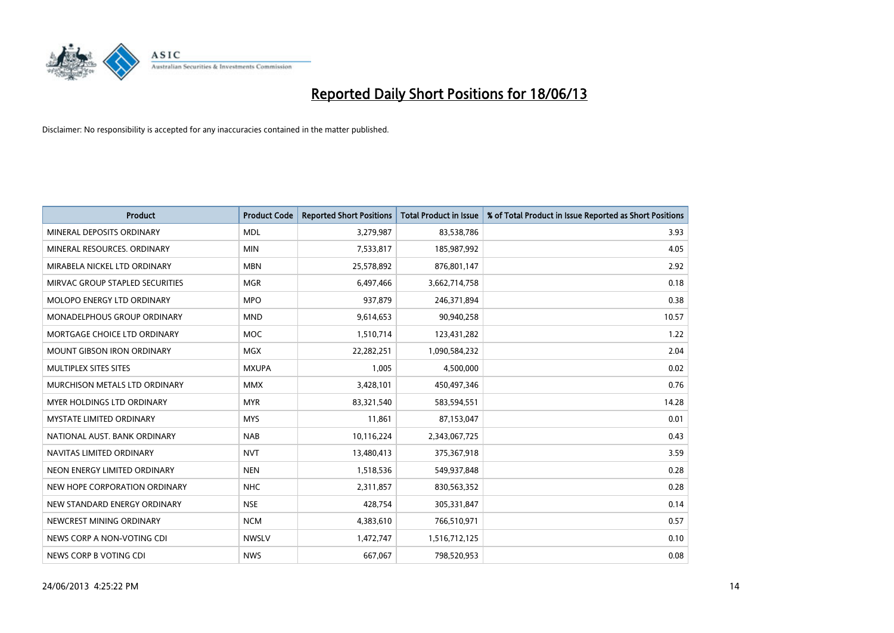

| <b>Product</b>                  | <b>Product Code</b> | <b>Reported Short Positions</b> | <b>Total Product in Issue</b> | % of Total Product in Issue Reported as Short Positions |
|---------------------------------|---------------------|---------------------------------|-------------------------------|---------------------------------------------------------|
| MINERAL DEPOSITS ORDINARY       | <b>MDL</b>          | 3,279,987                       | 83,538,786                    | 3.93                                                    |
| MINERAL RESOURCES, ORDINARY     | <b>MIN</b>          | 7,533,817                       | 185,987,992                   | 4.05                                                    |
| MIRABELA NICKEL LTD ORDINARY    | <b>MBN</b>          | 25,578,892                      | 876,801,147                   | 2.92                                                    |
| MIRVAC GROUP STAPLED SECURITIES | <b>MGR</b>          | 6,497,466                       | 3,662,714,758                 | 0.18                                                    |
| MOLOPO ENERGY LTD ORDINARY      | <b>MPO</b>          | 937,879                         | 246,371,894                   | 0.38                                                    |
| MONADELPHOUS GROUP ORDINARY     | <b>MND</b>          | 9,614,653                       | 90,940,258                    | 10.57                                                   |
| MORTGAGE CHOICE LTD ORDINARY    | <b>MOC</b>          | 1,510,714                       | 123,431,282                   | 1.22                                                    |
| MOUNT GIBSON IRON ORDINARY      | <b>MGX</b>          | 22,282,251                      | 1,090,584,232                 | 2.04                                                    |
| MULTIPLEX SITES SITES           | <b>MXUPA</b>        | 1,005                           | 4,500,000                     | 0.02                                                    |
| MURCHISON METALS LTD ORDINARY   | <b>MMX</b>          | 3,428,101                       | 450,497,346                   | 0.76                                                    |
| MYER HOLDINGS LTD ORDINARY      | <b>MYR</b>          | 83,321,540                      | 583,594,551                   | 14.28                                                   |
| MYSTATE LIMITED ORDINARY        | <b>MYS</b>          | 11,861                          | 87,153,047                    | 0.01                                                    |
| NATIONAL AUST. BANK ORDINARY    | <b>NAB</b>          | 10,116,224                      | 2,343,067,725                 | 0.43                                                    |
| NAVITAS LIMITED ORDINARY        | <b>NVT</b>          | 13,480,413                      | 375,367,918                   | 3.59                                                    |
| NEON ENERGY LIMITED ORDINARY    | <b>NEN</b>          | 1,518,536                       | 549,937,848                   | 0.28                                                    |
| NEW HOPE CORPORATION ORDINARY   | <b>NHC</b>          | 2,311,857                       | 830,563,352                   | 0.28                                                    |
| NEW STANDARD ENERGY ORDINARY    | <b>NSE</b>          | 428,754                         | 305,331,847                   | 0.14                                                    |
| NEWCREST MINING ORDINARY        | <b>NCM</b>          | 4,383,610                       | 766,510,971                   | 0.57                                                    |
| NEWS CORP A NON-VOTING CDI      | <b>NWSLV</b>        | 1,472,747                       | 1,516,712,125                 | 0.10                                                    |
| NEWS CORP B VOTING CDI          | <b>NWS</b>          | 667,067                         | 798,520,953                   | 0.08                                                    |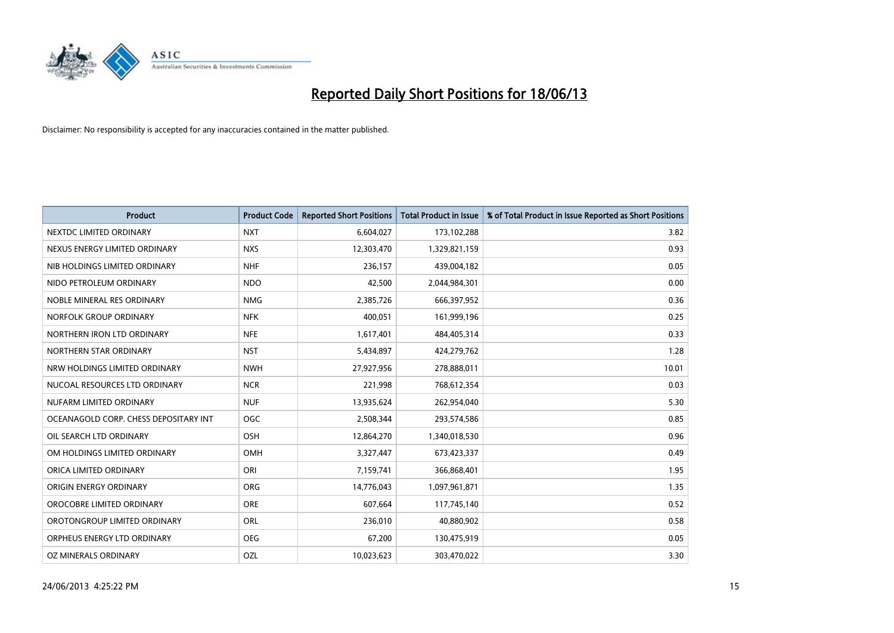

| <b>Product</b>                        | <b>Product Code</b> | <b>Reported Short Positions</b> | <b>Total Product in Issue</b> | % of Total Product in Issue Reported as Short Positions |
|---------------------------------------|---------------------|---------------------------------|-------------------------------|---------------------------------------------------------|
| NEXTDC LIMITED ORDINARY               | <b>NXT</b>          | 6,604,027                       | 173,102,288                   | 3.82                                                    |
| NEXUS ENERGY LIMITED ORDINARY         | <b>NXS</b>          | 12,303,470                      | 1,329,821,159                 | 0.93                                                    |
| NIB HOLDINGS LIMITED ORDINARY         | <b>NHF</b>          | 236,157                         | 439,004,182                   | 0.05                                                    |
| NIDO PETROLEUM ORDINARY               | <b>NDO</b>          | 42,500                          | 2,044,984,301                 | 0.00                                                    |
| NOBLE MINERAL RES ORDINARY            | <b>NMG</b>          | 2,385,726                       | 666,397,952                   | 0.36                                                    |
| NORFOLK GROUP ORDINARY                | <b>NFK</b>          | 400,051                         | 161,999,196                   | 0.25                                                    |
| NORTHERN IRON LTD ORDINARY            | <b>NFE</b>          | 1,617,401                       | 484,405,314                   | 0.33                                                    |
| NORTHERN STAR ORDINARY                | <b>NST</b>          | 5,434,897                       | 424,279,762                   | 1.28                                                    |
| NRW HOLDINGS LIMITED ORDINARY         | <b>NWH</b>          | 27,927,956                      | 278,888,011                   | 10.01                                                   |
| NUCOAL RESOURCES LTD ORDINARY         | <b>NCR</b>          | 221,998                         | 768,612,354                   | 0.03                                                    |
| NUFARM LIMITED ORDINARY               | <b>NUF</b>          | 13,935,624                      | 262,954,040                   | 5.30                                                    |
| OCEANAGOLD CORP. CHESS DEPOSITARY INT | <b>OGC</b>          | 2,508,344                       | 293,574,586                   | 0.85                                                    |
| OIL SEARCH LTD ORDINARY               | OSH                 | 12,864,270                      | 1,340,018,530                 | 0.96                                                    |
| OM HOLDINGS LIMITED ORDINARY          | OMH                 | 3,327,447                       | 673,423,337                   | 0.49                                                    |
| ORICA LIMITED ORDINARY                | ORI                 | 7,159,741                       | 366,868,401                   | 1.95                                                    |
| ORIGIN ENERGY ORDINARY                | ORG                 | 14,776,043                      | 1,097,961,871                 | 1.35                                                    |
| OROCOBRE LIMITED ORDINARY             | <b>ORE</b>          | 607,664                         | 117,745,140                   | 0.52                                                    |
| OROTONGROUP LIMITED ORDINARY          | ORL                 | 236,010                         | 40,880,902                    | 0.58                                                    |
| ORPHEUS ENERGY LTD ORDINARY           | <b>OEG</b>          | 67,200                          | 130,475,919                   | 0.05                                                    |
| OZ MINERALS ORDINARY                  | OZL                 | 10,023,623                      | 303,470,022                   | 3.30                                                    |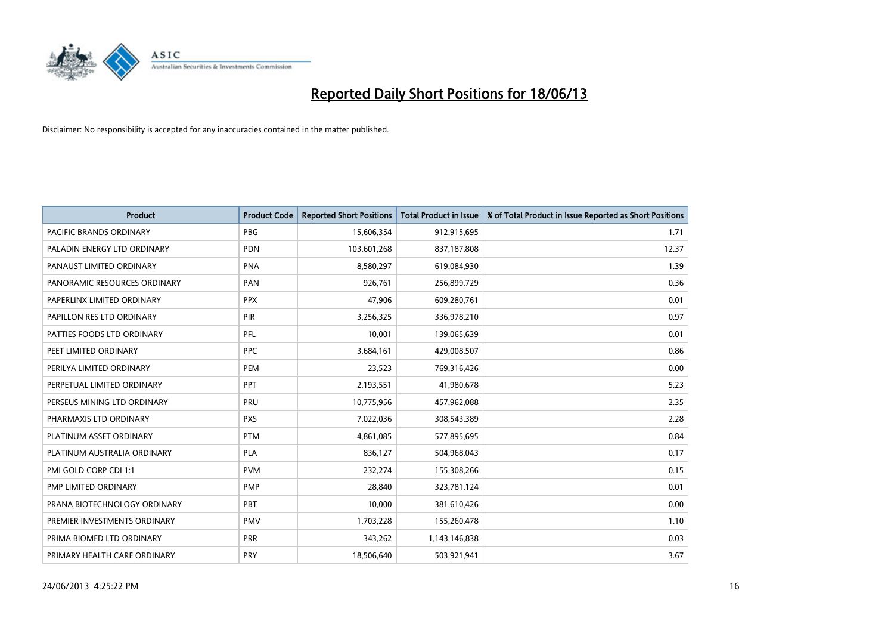

| Product                        | <b>Product Code</b> | <b>Reported Short Positions</b> | <b>Total Product in Issue</b> | % of Total Product in Issue Reported as Short Positions |
|--------------------------------|---------------------|---------------------------------|-------------------------------|---------------------------------------------------------|
| <b>PACIFIC BRANDS ORDINARY</b> | <b>PBG</b>          | 15,606,354                      | 912,915,695                   | 1.71                                                    |
| PALADIN ENERGY LTD ORDINARY    | <b>PDN</b>          | 103,601,268                     | 837,187,808                   | 12.37                                                   |
| PANAUST LIMITED ORDINARY       | <b>PNA</b>          | 8,580,297                       | 619,084,930                   | 1.39                                                    |
| PANORAMIC RESOURCES ORDINARY   | PAN                 | 926,761                         | 256,899,729                   | 0.36                                                    |
| PAPERLINX LIMITED ORDINARY     | <b>PPX</b>          | 47,906                          | 609,280,761                   | 0.01                                                    |
| PAPILLON RES LTD ORDINARY      | <b>PIR</b>          | 3,256,325                       | 336,978,210                   | 0.97                                                    |
| PATTIES FOODS LTD ORDINARY     | PFL                 | 10,001                          | 139,065,639                   | 0.01                                                    |
| PEET LIMITED ORDINARY          | <b>PPC</b>          | 3,684,161                       | 429,008,507                   | 0.86                                                    |
| PERILYA LIMITED ORDINARY       | <b>PEM</b>          | 23,523                          | 769,316,426                   | 0.00                                                    |
| PERPETUAL LIMITED ORDINARY     | <b>PPT</b>          | 2,193,551                       | 41,980,678                    | 5.23                                                    |
| PERSEUS MINING LTD ORDINARY    | <b>PRU</b>          | 10,775,956                      | 457,962,088                   | 2.35                                                    |
| PHARMAXIS LTD ORDINARY         | <b>PXS</b>          | 7,022,036                       | 308,543,389                   | 2.28                                                    |
| PLATINUM ASSET ORDINARY        | <b>PTM</b>          | 4,861,085                       | 577,895,695                   | 0.84                                                    |
| PLATINUM AUSTRALIA ORDINARY    | <b>PLA</b>          | 836,127                         | 504,968,043                   | 0.17                                                    |
| PMI GOLD CORP CDI 1:1          | <b>PVM</b>          | 232,274                         | 155,308,266                   | 0.15                                                    |
| PMP LIMITED ORDINARY           | <b>PMP</b>          | 28,840                          | 323,781,124                   | 0.01                                                    |
| PRANA BIOTECHNOLOGY ORDINARY   | PBT                 | 10,000                          | 381,610,426                   | 0.00                                                    |
| PREMIER INVESTMENTS ORDINARY   | <b>PMV</b>          | 1,703,228                       | 155,260,478                   | 1.10                                                    |
| PRIMA BIOMED LTD ORDINARY      | <b>PRR</b>          | 343,262                         | 1,143,146,838                 | 0.03                                                    |
| PRIMARY HEALTH CARE ORDINARY   | <b>PRY</b>          | 18,506,640                      | 503,921,941                   | 3.67                                                    |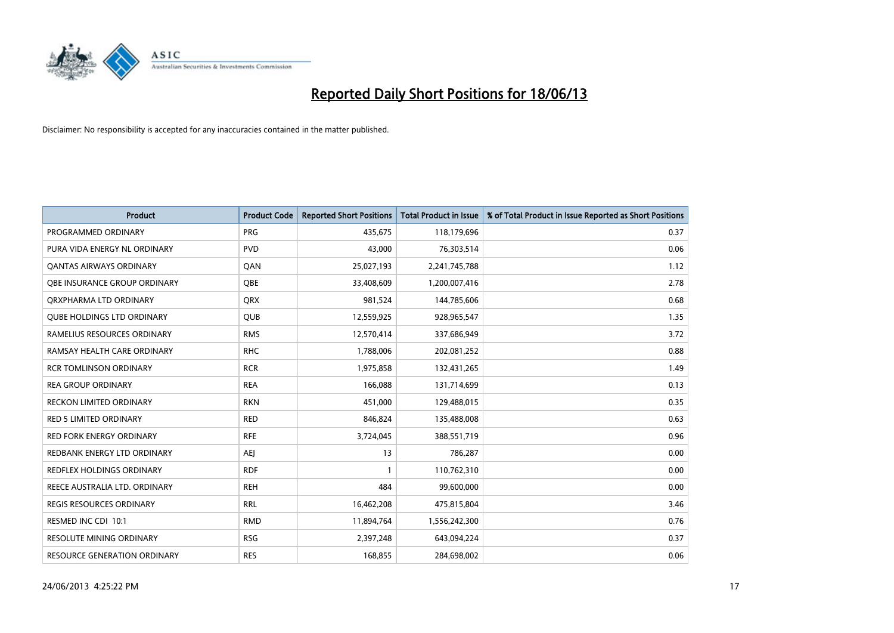

| <b>Product</b>                    | <b>Product Code</b> | <b>Reported Short Positions</b> | <b>Total Product in Issue</b> | % of Total Product in Issue Reported as Short Positions |
|-----------------------------------|---------------------|---------------------------------|-------------------------------|---------------------------------------------------------|
| PROGRAMMED ORDINARY               | <b>PRG</b>          | 435,675                         | 118,179,696                   | 0.37                                                    |
| PURA VIDA ENERGY NL ORDINARY      | <b>PVD</b>          | 43,000                          | 76,303,514                    | 0.06                                                    |
| OANTAS AIRWAYS ORDINARY           | QAN                 | 25,027,193                      | 2,241,745,788                 | 1.12                                                    |
| OBE INSURANCE GROUP ORDINARY      | <b>OBE</b>          | 33,408,609                      | 1,200,007,416                 | 2.78                                                    |
| ORXPHARMA LTD ORDINARY            | <b>QRX</b>          | 981,524                         | 144,785,606                   | 0.68                                                    |
| <b>QUBE HOLDINGS LTD ORDINARY</b> | <b>QUB</b>          | 12,559,925                      | 928,965,547                   | 1.35                                                    |
| RAMELIUS RESOURCES ORDINARY       | <b>RMS</b>          | 12,570,414                      | 337,686,949                   | 3.72                                                    |
| RAMSAY HEALTH CARE ORDINARY       | <b>RHC</b>          | 1,788,006                       | 202,081,252                   | 0.88                                                    |
| <b>RCR TOMLINSON ORDINARY</b>     | <b>RCR</b>          | 1,975,858                       | 132,431,265                   | 1.49                                                    |
| <b>REA GROUP ORDINARY</b>         | <b>REA</b>          | 166,088                         | 131,714,699                   | 0.13                                                    |
| RECKON LIMITED ORDINARY           | <b>RKN</b>          | 451,000                         | 129,488,015                   | 0.35                                                    |
| <b>RED 5 LIMITED ORDINARY</b>     | <b>RED</b>          | 846,824                         | 135,488,008                   | 0.63                                                    |
| RED FORK ENERGY ORDINARY          | <b>RFE</b>          | 3,724,045                       | 388,551,719                   | 0.96                                                    |
| REDBANK ENERGY LTD ORDINARY       | <b>AEJ</b>          | 13                              | 786,287                       | 0.00                                                    |
| <b>REDFLEX HOLDINGS ORDINARY</b>  | <b>RDF</b>          | 1                               | 110,762,310                   | 0.00                                                    |
| REECE AUSTRALIA LTD. ORDINARY     | <b>REH</b>          | 484                             | 99,600,000                    | 0.00                                                    |
| <b>REGIS RESOURCES ORDINARY</b>   | <b>RRL</b>          | 16,462,208                      | 475,815,804                   | 3.46                                                    |
| RESMED INC CDI 10:1               | <b>RMD</b>          | 11,894,764                      | 1,556,242,300                 | 0.76                                                    |
| <b>RESOLUTE MINING ORDINARY</b>   | <b>RSG</b>          | 2,397,248                       | 643,094,224                   | 0.37                                                    |
| RESOURCE GENERATION ORDINARY      | <b>RES</b>          | 168,855                         | 284,698,002                   | 0.06                                                    |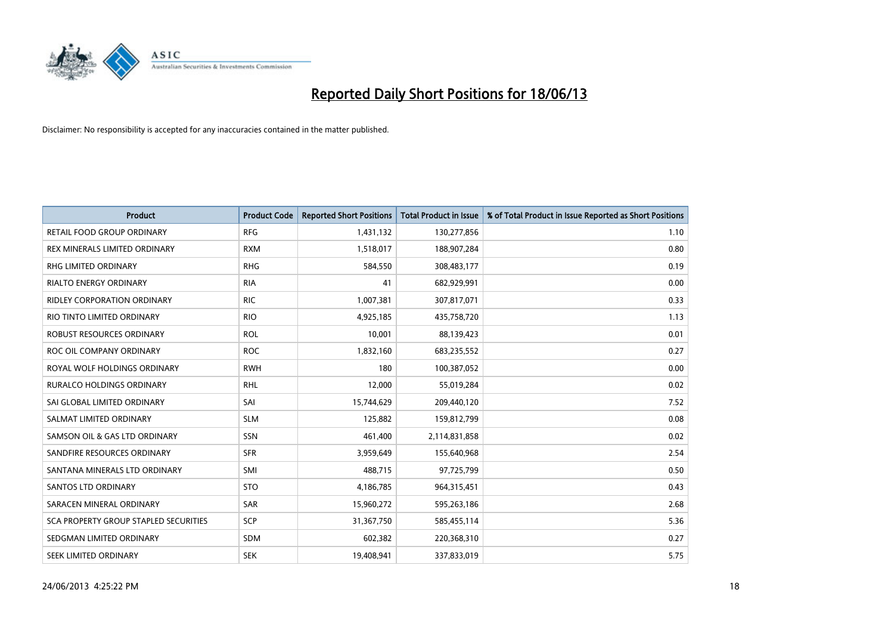

| <b>Product</b>                        | <b>Product Code</b> | <b>Reported Short Positions</b> | <b>Total Product in Issue</b> | % of Total Product in Issue Reported as Short Positions |
|---------------------------------------|---------------------|---------------------------------|-------------------------------|---------------------------------------------------------|
| <b>RETAIL FOOD GROUP ORDINARY</b>     | <b>RFG</b>          | 1,431,132                       | 130,277,856                   | 1.10                                                    |
| REX MINERALS LIMITED ORDINARY         | <b>RXM</b>          | 1,518,017                       | 188,907,284                   | 0.80                                                    |
| RHG LIMITED ORDINARY                  | <b>RHG</b>          | 584,550                         | 308,483,177                   | 0.19                                                    |
| <b>RIALTO ENERGY ORDINARY</b>         | <b>RIA</b>          | 41                              | 682,929,991                   | 0.00                                                    |
| RIDLEY CORPORATION ORDINARY           | <b>RIC</b>          | 1,007,381                       | 307,817,071                   | 0.33                                                    |
| RIO TINTO LIMITED ORDINARY            | <b>RIO</b>          | 4,925,185                       | 435,758,720                   | 1.13                                                    |
| ROBUST RESOURCES ORDINARY             | <b>ROL</b>          | 10,001                          | 88,139,423                    | 0.01                                                    |
| ROC OIL COMPANY ORDINARY              | <b>ROC</b>          | 1,832,160                       | 683,235,552                   | 0.27                                                    |
| ROYAL WOLF HOLDINGS ORDINARY          | <b>RWH</b>          | 180                             | 100,387,052                   | 0.00                                                    |
| <b>RURALCO HOLDINGS ORDINARY</b>      | <b>RHL</b>          | 12,000                          | 55,019,284                    | 0.02                                                    |
| SAI GLOBAL LIMITED ORDINARY           | SAI                 | 15,744,629                      | 209,440,120                   | 7.52                                                    |
| SALMAT LIMITED ORDINARY               | <b>SLM</b>          | 125,882                         | 159,812,799                   | 0.08                                                    |
| SAMSON OIL & GAS LTD ORDINARY         | SSN                 | 461,400                         | 2,114,831,858                 | 0.02                                                    |
| SANDFIRE RESOURCES ORDINARY           | <b>SFR</b>          | 3,959,649                       | 155,640,968                   | 2.54                                                    |
| SANTANA MINERALS LTD ORDINARY         | SMI                 | 488,715                         | 97,725,799                    | 0.50                                                    |
| SANTOS LTD ORDINARY                   | <b>STO</b>          | 4,186,785                       | 964,315,451                   | 0.43                                                    |
| SARACEN MINERAL ORDINARY              | SAR                 | 15,960,272                      | 595,263,186                   | 2.68                                                    |
| SCA PROPERTY GROUP STAPLED SECURITIES | <b>SCP</b>          | 31,367,750                      | 585,455,114                   | 5.36                                                    |
| SEDGMAN LIMITED ORDINARY              | <b>SDM</b>          | 602,382                         | 220,368,310                   | 0.27                                                    |
| SEEK LIMITED ORDINARY                 | <b>SEK</b>          | 19,408,941                      | 337,833,019                   | 5.75                                                    |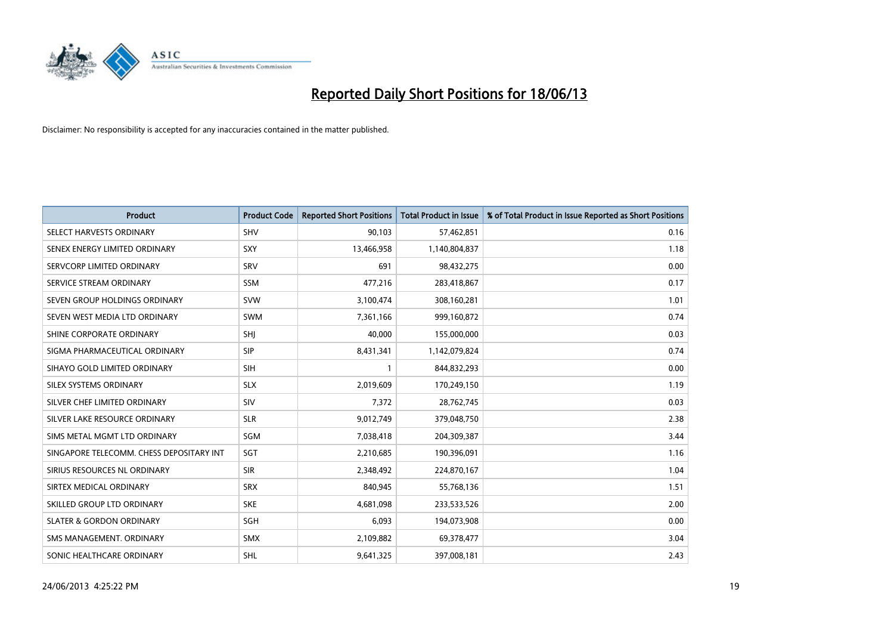

| <b>Product</b>                           | <b>Product Code</b> | <b>Reported Short Positions</b> | <b>Total Product in Issue</b> | % of Total Product in Issue Reported as Short Positions |
|------------------------------------------|---------------------|---------------------------------|-------------------------------|---------------------------------------------------------|
| SELECT HARVESTS ORDINARY                 | <b>SHV</b>          | 90,103                          | 57,462,851                    | 0.16                                                    |
| SENEX ENERGY LIMITED ORDINARY            | <b>SXY</b>          | 13,466,958                      | 1,140,804,837                 | 1.18                                                    |
| SERVCORP LIMITED ORDINARY                | SRV                 | 691                             | 98,432,275                    | 0.00                                                    |
| SERVICE STREAM ORDINARY                  | <b>SSM</b>          | 477,216                         | 283,418,867                   | 0.17                                                    |
| SEVEN GROUP HOLDINGS ORDINARY            | <b>SVW</b>          | 3,100,474                       | 308,160,281                   | 1.01                                                    |
| SEVEN WEST MEDIA LTD ORDINARY            | SWM                 | 7,361,166                       | 999,160,872                   | 0.74                                                    |
| SHINE CORPORATE ORDINARY                 | SHJ                 | 40,000                          | 155,000,000                   | 0.03                                                    |
| SIGMA PHARMACEUTICAL ORDINARY            | <b>SIP</b>          | 8,431,341                       | 1,142,079,824                 | 0.74                                                    |
| SIHAYO GOLD LIMITED ORDINARY             | <b>SIH</b>          | 1                               | 844,832,293                   | 0.00                                                    |
| SILEX SYSTEMS ORDINARY                   | <b>SLX</b>          | 2,019,609                       | 170,249,150                   | 1.19                                                    |
| SILVER CHEF LIMITED ORDINARY             | <b>SIV</b>          | 7,372                           | 28,762,745                    | 0.03                                                    |
| SILVER LAKE RESOURCE ORDINARY            | <b>SLR</b>          | 9,012,749                       | 379,048,750                   | 2.38                                                    |
| SIMS METAL MGMT LTD ORDINARY             | SGM                 | 7,038,418                       | 204,309,387                   | 3.44                                                    |
| SINGAPORE TELECOMM. CHESS DEPOSITARY INT | SGT                 | 2,210,685                       | 190,396,091                   | 1.16                                                    |
| SIRIUS RESOURCES NL ORDINARY             | <b>SIR</b>          | 2,348,492                       | 224,870,167                   | 1.04                                                    |
| SIRTEX MEDICAL ORDINARY                  | <b>SRX</b>          | 840,945                         | 55,768,136                    | 1.51                                                    |
| SKILLED GROUP LTD ORDINARY               | <b>SKE</b>          | 4,681,098                       | 233,533,526                   | 2.00                                                    |
| <b>SLATER &amp; GORDON ORDINARY</b>      | <b>SGH</b>          | 6,093                           | 194,073,908                   | 0.00                                                    |
| SMS MANAGEMENT, ORDINARY                 | <b>SMX</b>          | 2,109,882                       | 69,378,477                    | 3.04                                                    |
| SONIC HEALTHCARE ORDINARY                | <b>SHL</b>          | 9,641,325                       | 397,008,181                   | 2.43                                                    |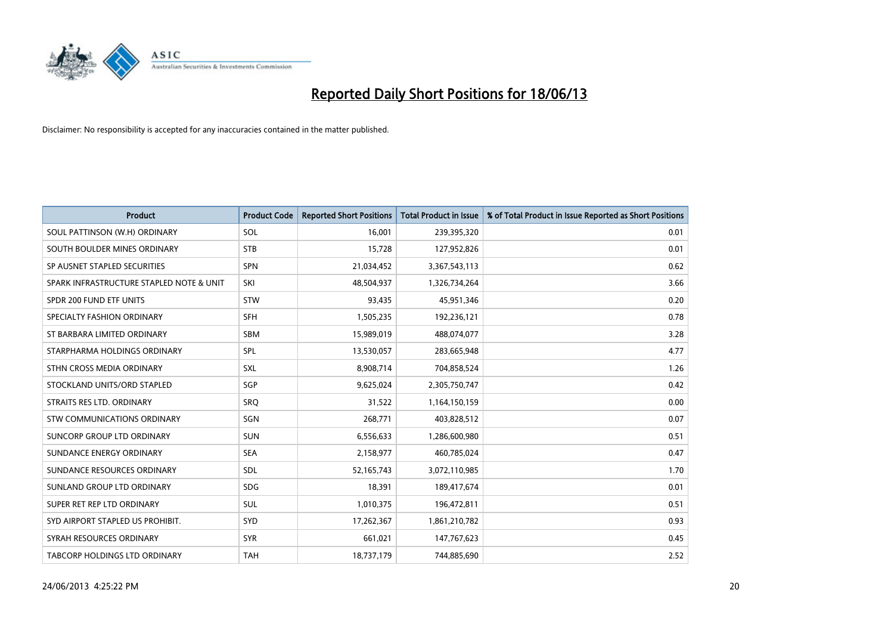

| <b>Product</b>                           | <b>Product Code</b> | <b>Reported Short Positions</b> | <b>Total Product in Issue</b> | % of Total Product in Issue Reported as Short Positions |
|------------------------------------------|---------------------|---------------------------------|-------------------------------|---------------------------------------------------------|
| SOUL PATTINSON (W.H) ORDINARY            | SOL                 | 16,001                          | 239,395,320                   | 0.01                                                    |
| SOUTH BOULDER MINES ORDINARY             | <b>STB</b>          | 15,728                          | 127,952,826                   | 0.01                                                    |
| SP AUSNET STAPLED SECURITIES             | SPN                 | 21,034,452                      | 3,367,543,113                 | 0.62                                                    |
| SPARK INFRASTRUCTURE STAPLED NOTE & UNIT | SKI                 | 48,504,937                      | 1,326,734,264                 | 3.66                                                    |
| SPDR 200 FUND ETF UNITS                  | <b>STW</b>          | 93,435                          | 45,951,346                    | 0.20                                                    |
| SPECIALTY FASHION ORDINARY               | <b>SFH</b>          | 1,505,235                       | 192,236,121                   | 0.78                                                    |
| ST BARBARA LIMITED ORDINARY              | <b>SBM</b>          | 15,989,019                      | 488,074,077                   | 3.28                                                    |
| STARPHARMA HOLDINGS ORDINARY             | SPL                 | 13,530,057                      | 283,665,948                   | 4.77                                                    |
| STHN CROSS MEDIA ORDINARY                | <b>SXL</b>          | 8,908,714                       | 704,858,524                   | 1.26                                                    |
| STOCKLAND UNITS/ORD STAPLED              | SGP                 | 9,625,024                       | 2,305,750,747                 | 0.42                                                    |
| STRAITS RES LTD. ORDINARY                | <b>SRO</b>          | 31,522                          | 1,164,150,159                 | 0.00                                                    |
| STW COMMUNICATIONS ORDINARY              | SGN                 | 268,771                         | 403,828,512                   | 0.07                                                    |
| SUNCORP GROUP LTD ORDINARY               | <b>SUN</b>          | 6,556,633                       | 1,286,600,980                 | 0.51                                                    |
| SUNDANCE ENERGY ORDINARY                 | <b>SEA</b>          | 2,158,977                       | 460,785,024                   | 0.47                                                    |
| SUNDANCE RESOURCES ORDINARY              | SDL                 | 52,165,743                      | 3,072,110,985                 | 1.70                                                    |
| SUNLAND GROUP LTD ORDINARY               | <b>SDG</b>          | 18,391                          | 189,417,674                   | 0.01                                                    |
| SUPER RET REP LTD ORDINARY               | SUL                 | 1,010,375                       | 196,472,811                   | 0.51                                                    |
| SYD AIRPORT STAPLED US PROHIBIT.         | <b>SYD</b>          | 17,262,367                      | 1,861,210,782                 | 0.93                                                    |
| SYRAH RESOURCES ORDINARY                 | <b>SYR</b>          | 661,021                         | 147,767,623                   | 0.45                                                    |
| TABCORP HOLDINGS LTD ORDINARY            | <b>TAH</b>          | 18,737,179                      | 744,885,690                   | 2.52                                                    |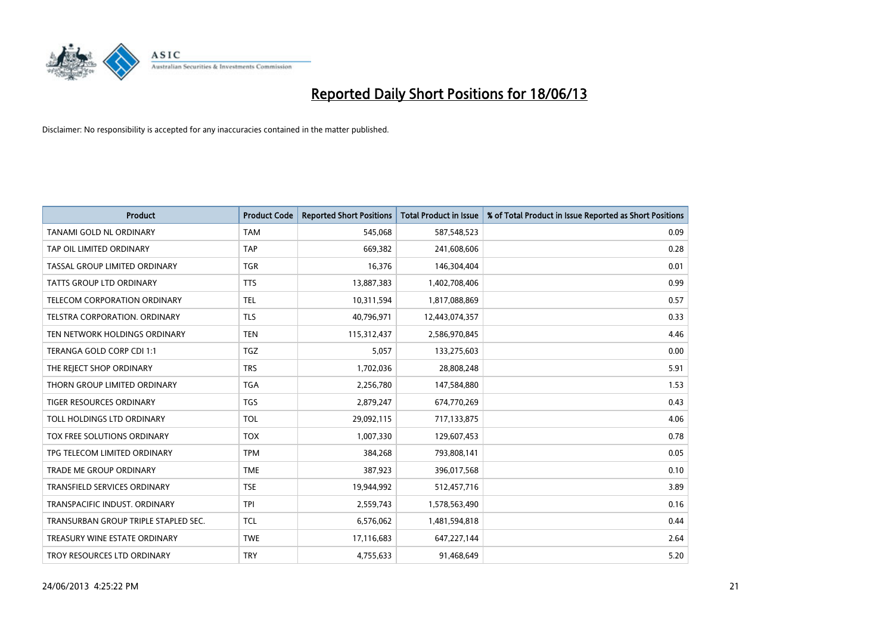

| <b>Product</b>                       | <b>Product Code</b> | <b>Reported Short Positions</b> | <b>Total Product in Issue</b> | % of Total Product in Issue Reported as Short Positions |
|--------------------------------------|---------------------|---------------------------------|-------------------------------|---------------------------------------------------------|
| <b>TANAMI GOLD NL ORDINARY</b>       | <b>TAM</b>          | 545,068                         | 587,548,523                   | 0.09                                                    |
| TAP OIL LIMITED ORDINARY             | <b>TAP</b>          | 669,382                         | 241,608,606                   | 0.28                                                    |
| TASSAL GROUP LIMITED ORDINARY        | <b>TGR</b>          | 16,376                          | 146,304,404                   | 0.01                                                    |
| TATTS GROUP LTD ORDINARY             | <b>TTS</b>          | 13,887,383                      | 1,402,708,406                 | 0.99                                                    |
| TELECOM CORPORATION ORDINARY         | <b>TEL</b>          | 10,311,594                      | 1,817,088,869                 | 0.57                                                    |
| TELSTRA CORPORATION, ORDINARY        | <b>TLS</b>          | 40,796,971                      | 12,443,074,357                | 0.33                                                    |
| TEN NETWORK HOLDINGS ORDINARY        | <b>TEN</b>          | 115,312,437                     | 2,586,970,845                 | 4.46                                                    |
| TERANGA GOLD CORP CDI 1:1            | <b>TGZ</b>          | 5,057                           | 133,275,603                   | 0.00                                                    |
| THE REJECT SHOP ORDINARY             | <b>TRS</b>          | 1,702,036                       | 28,808,248                    | 5.91                                                    |
| THORN GROUP LIMITED ORDINARY         | <b>TGA</b>          | 2,256,780                       | 147,584,880                   | 1.53                                                    |
| TIGER RESOURCES ORDINARY             | <b>TGS</b>          | 2,879,247                       | 674,770,269                   | 0.43                                                    |
| TOLL HOLDINGS LTD ORDINARY           | <b>TOL</b>          | 29,092,115                      | 717,133,875                   | 4.06                                                    |
| TOX FREE SOLUTIONS ORDINARY          | <b>TOX</b>          | 1,007,330                       | 129,607,453                   | 0.78                                                    |
| TPG TELECOM LIMITED ORDINARY         | <b>TPM</b>          | 384,268                         | 793,808,141                   | 0.05                                                    |
| <b>TRADE ME GROUP ORDINARY</b>       | <b>TME</b>          | 387,923                         | 396,017,568                   | 0.10                                                    |
| TRANSFIELD SERVICES ORDINARY         | <b>TSE</b>          | 19,944,992                      | 512,457,716                   | 3.89                                                    |
| TRANSPACIFIC INDUST. ORDINARY        | <b>TPI</b>          | 2,559,743                       | 1,578,563,490                 | 0.16                                                    |
| TRANSURBAN GROUP TRIPLE STAPLED SEC. | <b>TCL</b>          | 6,576,062                       | 1,481,594,818                 | 0.44                                                    |
| TREASURY WINE ESTATE ORDINARY        | <b>TWE</b>          | 17,116,683                      | 647,227,144                   | 2.64                                                    |
| TROY RESOURCES LTD ORDINARY          | <b>TRY</b>          | 4,755,633                       | 91,468,649                    | 5.20                                                    |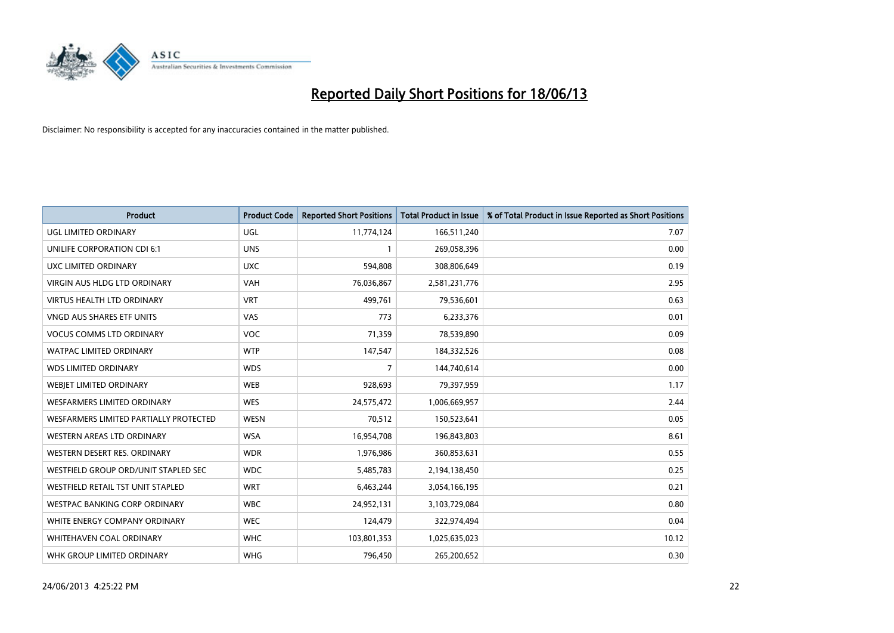

| <b>Product</b>                         | <b>Product Code</b> | <b>Reported Short Positions</b> | <b>Total Product in Issue</b> | % of Total Product in Issue Reported as Short Positions |
|----------------------------------------|---------------------|---------------------------------|-------------------------------|---------------------------------------------------------|
| <b>UGL LIMITED ORDINARY</b>            | UGL                 | 11,774,124                      | 166,511,240                   | 7.07                                                    |
| UNILIFE CORPORATION CDI 6:1            | <b>UNS</b>          | 1                               | 269,058,396                   | 0.00                                                    |
| UXC LIMITED ORDINARY                   | <b>UXC</b>          | 594,808                         | 308,806,649                   | 0.19                                                    |
| <b>VIRGIN AUS HLDG LTD ORDINARY</b>    | <b>VAH</b>          | 76,036,867                      | 2,581,231,776                 | 2.95                                                    |
| <b>VIRTUS HEALTH LTD ORDINARY</b>      | <b>VRT</b>          | 499,761                         | 79,536,601                    | 0.63                                                    |
| <b>VNGD AUS SHARES ETF UNITS</b>       | VAS                 | 773                             | 6,233,376                     | 0.01                                                    |
| <b>VOCUS COMMS LTD ORDINARY</b>        | <b>VOC</b>          | 71,359                          | 78,539,890                    | 0.09                                                    |
| <b>WATPAC LIMITED ORDINARY</b>         | <b>WTP</b>          | 147,547                         | 184,332,526                   | 0.08                                                    |
| <b>WDS LIMITED ORDINARY</b>            | <b>WDS</b>          | 7                               | 144,740,614                   | 0.00                                                    |
| WEBJET LIMITED ORDINARY                | <b>WEB</b>          | 928,693                         | 79,397,959                    | 1.17                                                    |
| WESFARMERS LIMITED ORDINARY            | <b>WES</b>          | 24,575,472                      | 1,006,669,957                 | 2.44                                                    |
| WESFARMERS LIMITED PARTIALLY PROTECTED | <b>WESN</b>         | 70,512                          | 150,523,641                   | 0.05                                                    |
| WESTERN AREAS LTD ORDINARY             | <b>WSA</b>          | 16,954,708                      | 196,843,803                   | 8.61                                                    |
| WESTERN DESERT RES. ORDINARY           | <b>WDR</b>          | 1,976,986                       | 360,853,631                   | 0.55                                                    |
| WESTFIELD GROUP ORD/UNIT STAPLED SEC   | <b>WDC</b>          | 5,485,783                       | 2,194,138,450                 | 0.25                                                    |
| WESTFIELD RETAIL TST UNIT STAPLED      | <b>WRT</b>          | 6,463,244                       | 3,054,166,195                 | 0.21                                                    |
| <b>WESTPAC BANKING CORP ORDINARY</b>   | <b>WBC</b>          | 24,952,131                      | 3,103,729,084                 | 0.80                                                    |
| WHITE ENERGY COMPANY ORDINARY          | <b>WEC</b>          | 124,479                         | 322,974,494                   | 0.04                                                    |
| WHITEHAVEN COAL ORDINARY               | <b>WHC</b>          | 103,801,353                     | 1,025,635,023                 | 10.12                                                   |
| WHK GROUP LIMITED ORDINARY             | <b>WHG</b>          | 796,450                         | 265,200,652                   | 0.30                                                    |